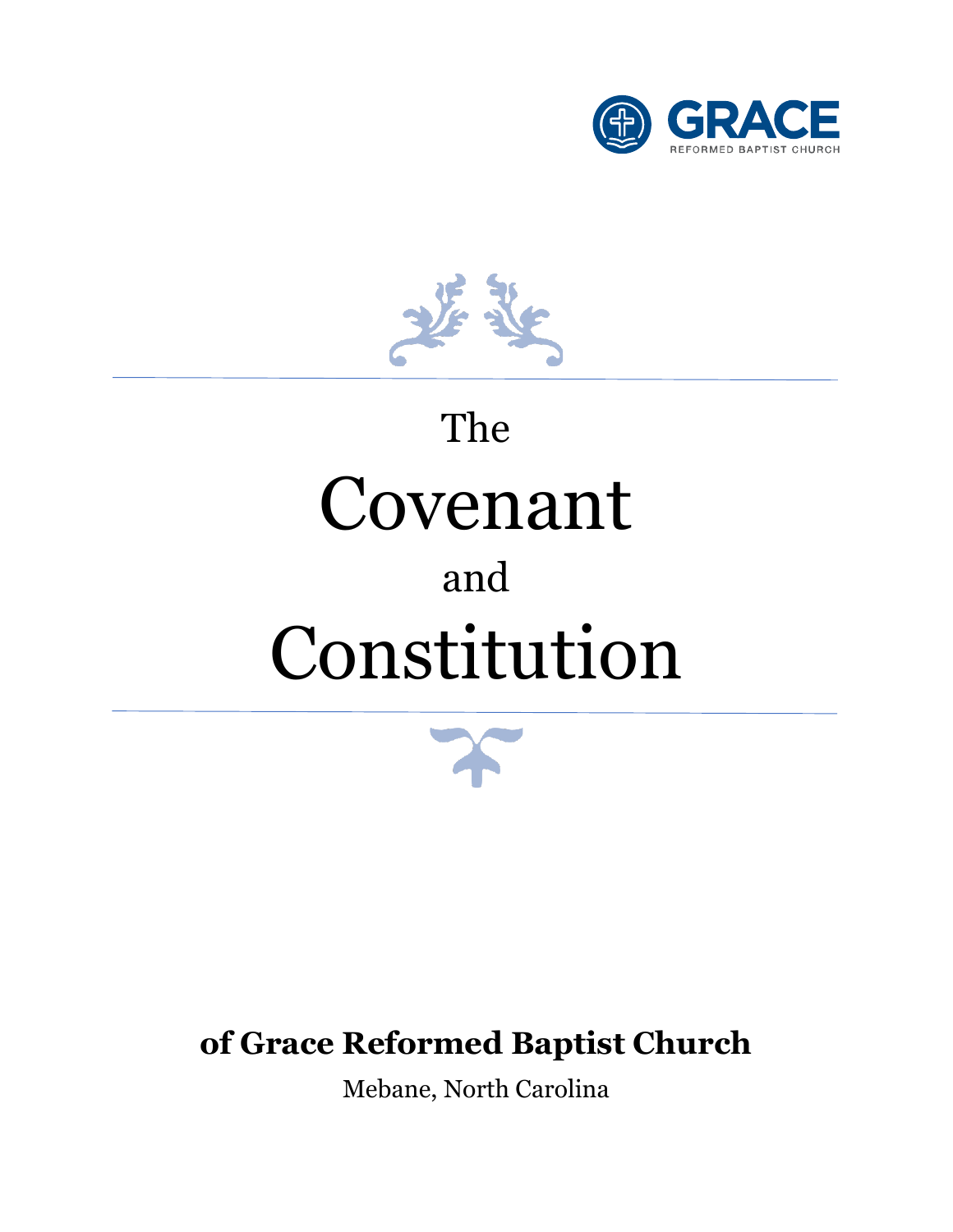



# The Covenant and Constitution



# **of Grace Reformed Baptist Church**

Mebane, North Carolina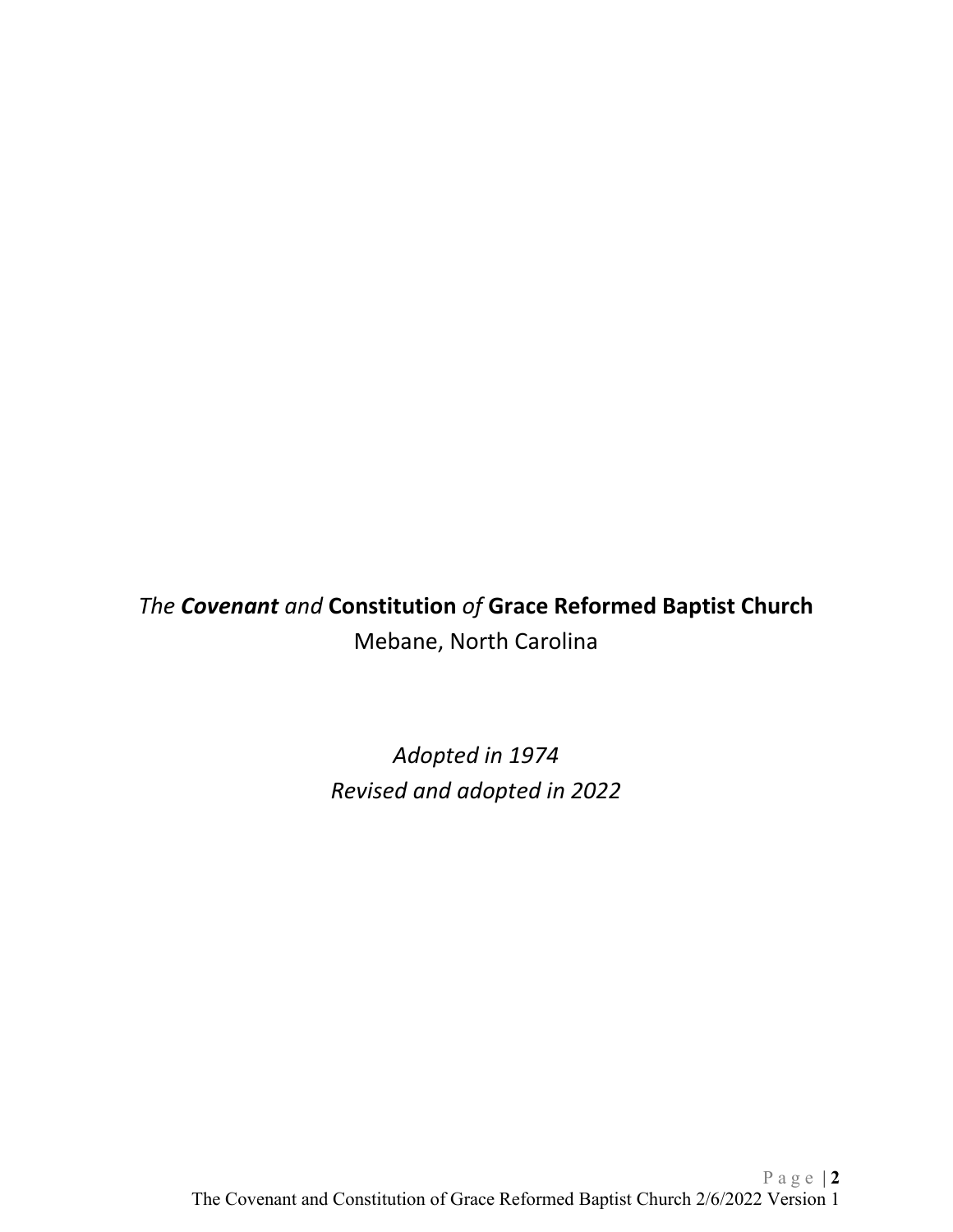*The Covenant and* **Constitution** *of* **Grace Reformed Baptist Church** Mebane, North Carolina

> *Adopted in 1974 Revised and adopted in 2022*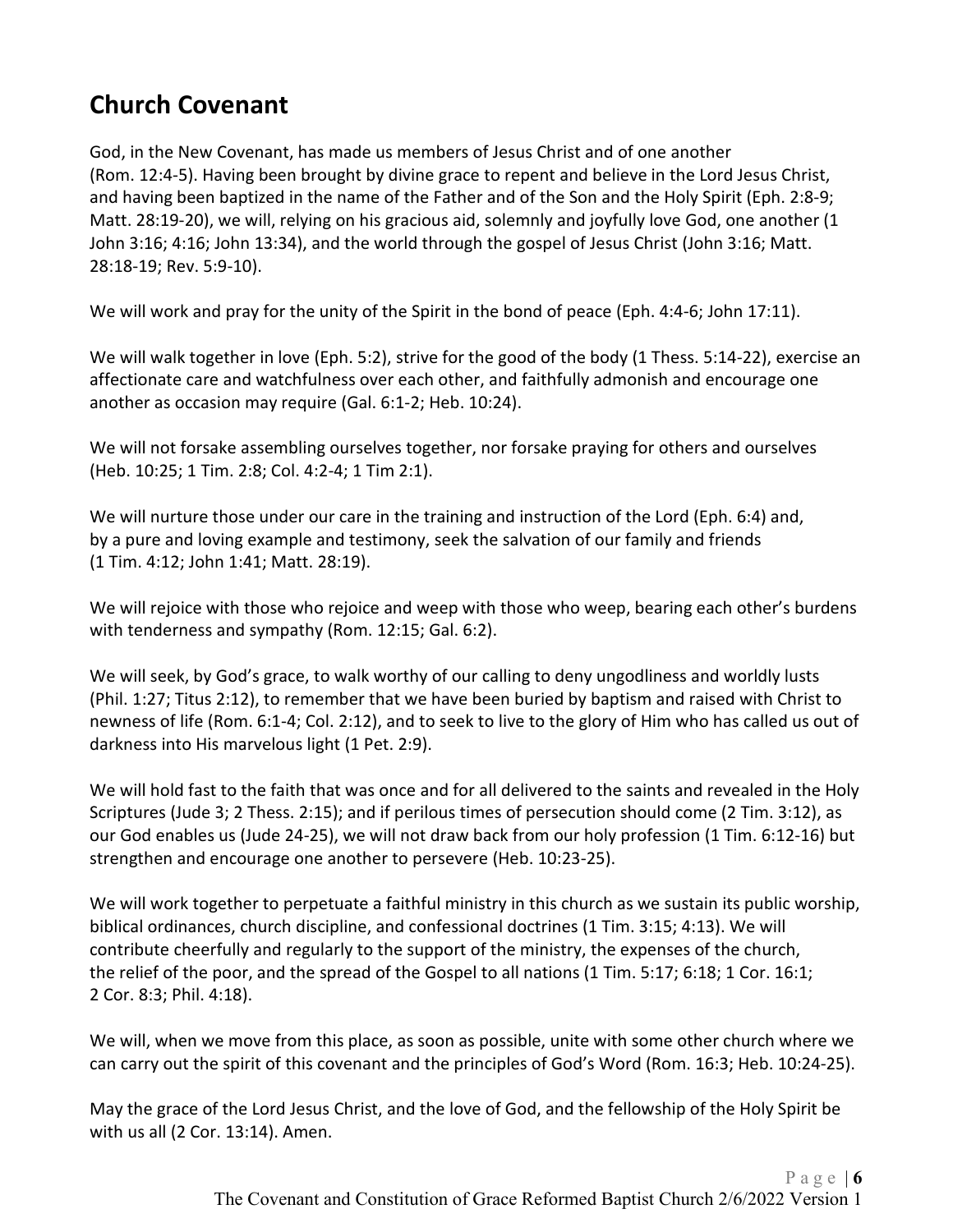# <span id="page-5-0"></span>**Church Covenant**

God, in the New Covenant, has made us members of Jesus Christ and of one another (Rom. 12:4-5). Having been brought by divine grace to repent and believe in the Lord Jesus Christ, and having been baptized in the name of the Father and of the Son and the Holy Spirit (Eph. 2:8-9; Matt. 28:19-20), we will, relying on his gracious aid, solemnly and joyfully love God, one another (1 John 3:16; 4:16; John 13:34), and the world through the gospel of Jesus Christ (John 3:16; Matt. 28:18-19; Rev. 5:9-10).

We will work and pray for the unity of the Spirit in the bond of peace (Eph. 4:4-6; John 17:11).

We will walk together in love (Eph. 5:2), strive for the good of the body (1 Thess. 5:14-22), exercise an affectionate care and watchfulness over each other, and faithfully admonish and encourage one another as occasion may require (Gal. 6:1-2; Heb. 10:24).

We will not forsake assembling ourselves together, nor forsake praying for others and ourselves (Heb. 10:25; 1 Tim. 2:8; Col. 4:2-4; 1 Tim 2:1).

We will nurture those under our care in the training and instruction of the Lord (Eph. 6:4) and, by a pure and loving example and testimony, seek the salvation of our family and friends (1 Tim. 4:12; John 1:41; Matt. 28:19).

We will rejoice with those who rejoice and weep with those who weep, bearing each other's burdens with tenderness and sympathy (Rom. 12:15; Gal. 6:2).

We will seek, by God's grace, to walk worthy of our calling to deny ungodliness and worldly lusts (Phil. 1:27; Titus 2:12), to remember that we have been buried by baptism and raised with Christ to newness of life (Rom. 6:1-4; Col. 2:12), and to seek to live to the glory of Him who has called us out of darkness into His marvelous light (1 Pet. 2:9).

We will hold fast to the faith that was once and for all delivered to the saints and revealed in the Holy Scriptures (Jude 3; 2 Thess. 2:15); and if perilous times of persecution should come (2 Tim. 3:12), as our God enables us (Jude 24-25), we will not draw back from our holy profession (1 Tim. 6:12-16) but strengthen and encourage one another to persevere (Heb. 10:23-25).

We will work together to perpetuate a faithful ministry in this church as we sustain its public worship, biblical ordinances, church discipline, and confessional doctrines (1 Tim. 3:15; 4:13). We will contribute cheerfully and regularly to the support of the ministry, the expenses of the church, the relief of the poor, and the spread of the Gospel to all nations (1 Tim. 5:17; 6:18; 1 Cor. 16:1; 2 Cor. 8:3; Phil. 4:18).

We will, when we move from this place, as soon as possible, unite with some other church where we can carry out the spirit of this covenant and the principles of God's Word (Rom. 16:3; Heb. 10:24-25).

May the grace of the Lord Jesus Christ, and the love of God, and the fellowship of the Holy Spirit be with us all (2 Cor. 13:14). Amen.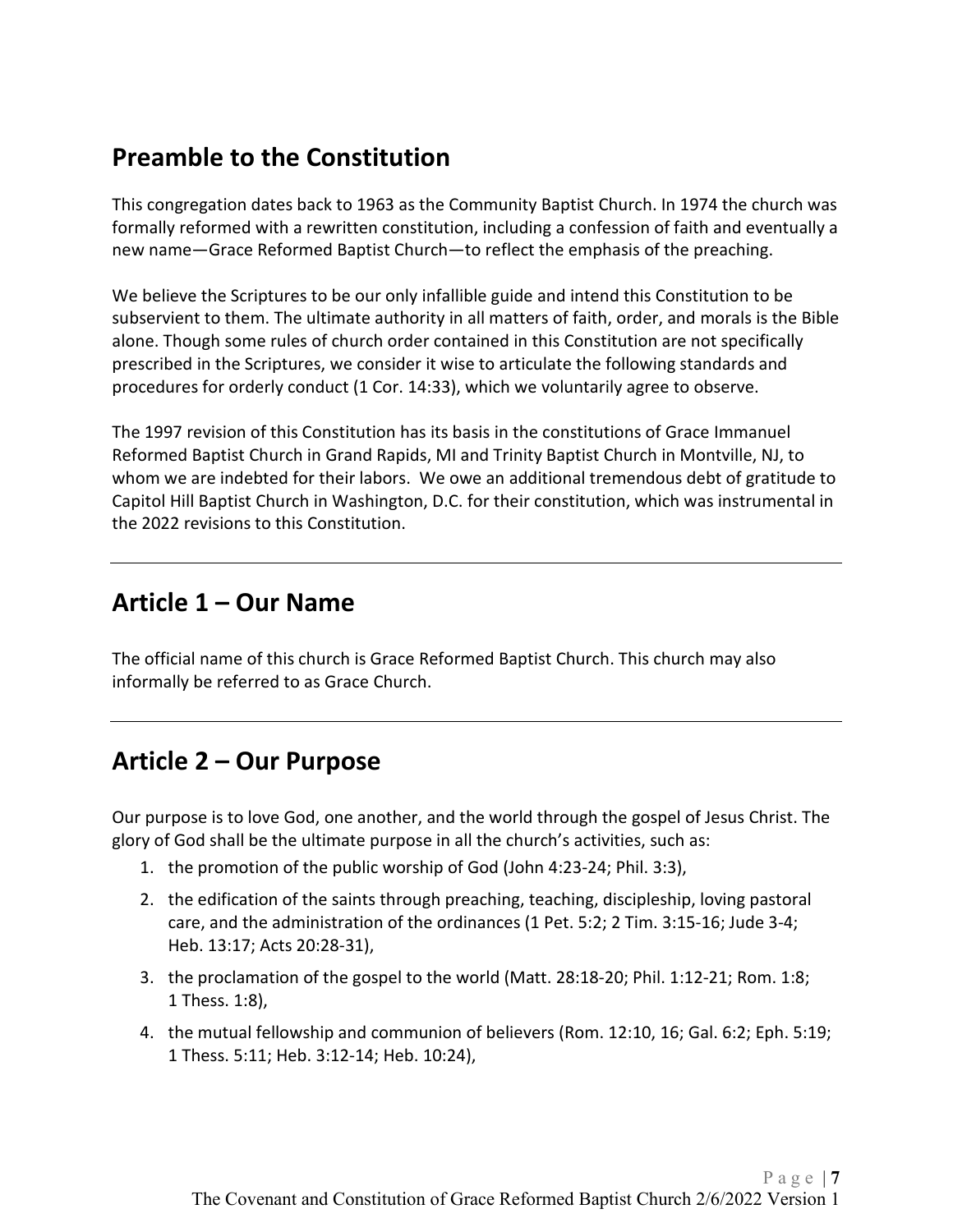# <span id="page-6-0"></span>**Preamble to the Constitution**

This congregation dates back to 1963 as the Community Baptist Church. In 1974 the church was formally reformed with a rewritten constitution, including a confession of faith and eventually a new name—Grace Reformed Baptist Church—to reflect the emphasis of the preaching.

We believe the Scriptures to be our only infallible guide and intend this Constitution to be subservient to them. The ultimate authority in all matters of faith, order, and morals is the Bible alone. Though some rules of church order contained in this Constitution are not specifically prescribed in the Scriptures, we consider it wise to articulate the following standards and procedures for orderly conduct (1 Cor. 14:33), which we voluntarily agree to observe.

The 1997 revision of this Constitution has its basis in the constitutions of Grace Immanuel Reformed Baptist Church in Grand Rapids, MI and Trinity Baptist Church in Montville, NJ, to whom we are indebted for their labors. We owe an additional tremendous debt of gratitude to Capitol Hill Baptist Church in Washington, D.C. for their constitution, which was instrumental in the 2022 revisions to this Constitution.

# <span id="page-6-1"></span>**Article 1 – Our Name**

<span id="page-6-2"></span>The official name of this church is Grace Reformed Baptist Church. This church may also informally be referred to as Grace Church.

# **Article 2 – Our Purpose**

Our purpose is to love God, one another, and the world through the gospel of Jesus Christ. The glory of God shall be the ultimate purpose in all the church's activities, such as:

- 1. the promotion of the public worship of God (John 4:23-24; Phil. 3:3),
- 2. the edification of the saints through preaching, teaching, discipleship, loving pastoral care, and the administration of the ordinances (1 Pet. 5:2; 2 Tim. 3:15-16; Jude 3-4; Heb. 13:17; Acts 20:28-31),
- 3. the proclamation of the gospel to the world (Matt. 28:18-20; Phil. 1:12-21; Rom. 1:8; 1 Thess. 1:8),
- 4. the mutual fellowship and communion of believers (Rom. 12:10, 16; Gal. 6:2; Eph. 5:19; 1 Thess. 5:11; Heb. 3:12-14; Heb. 10:24),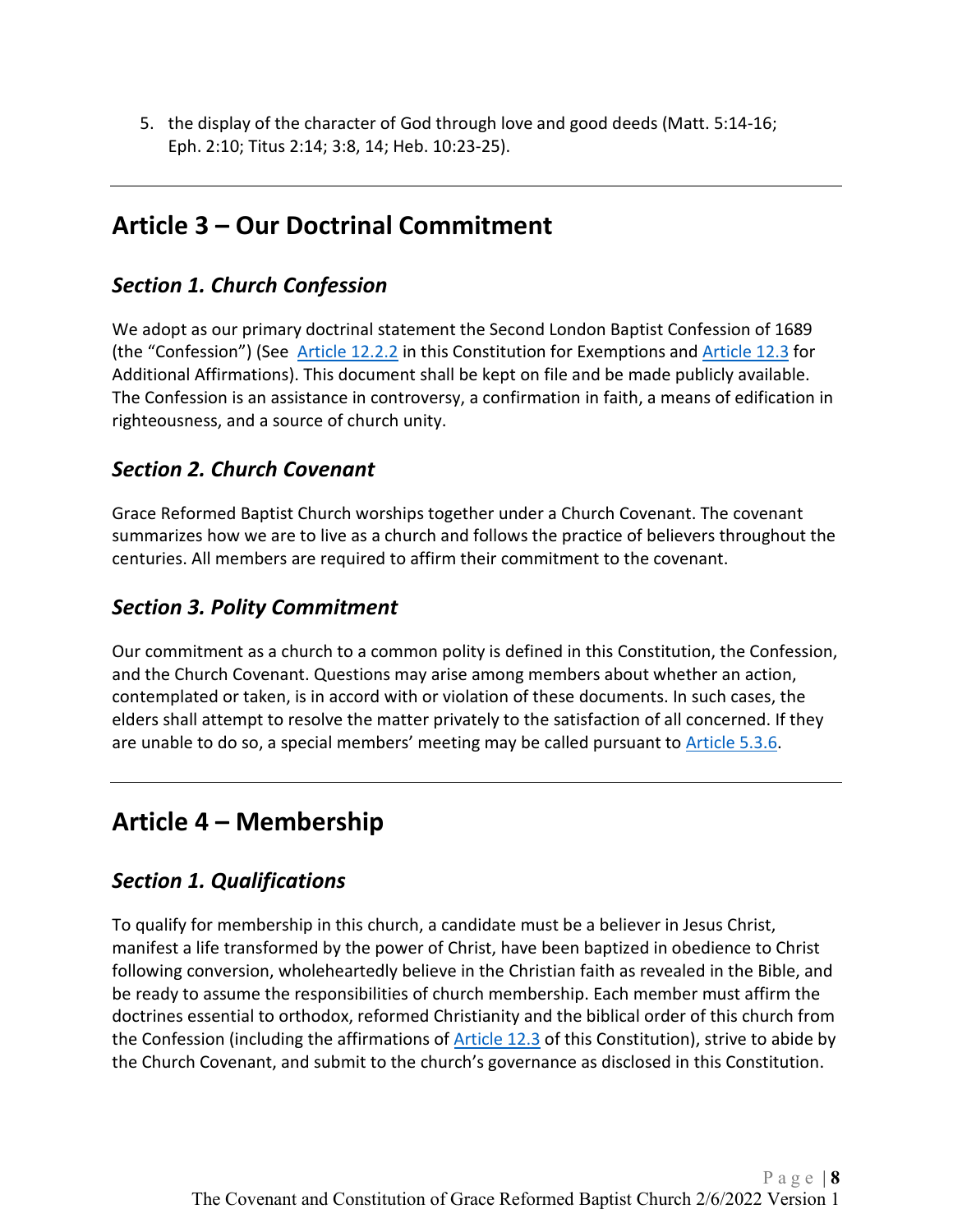<span id="page-7-0"></span>5. the display of the character of God through love and good deeds (Matt. 5:14-16; Eph. 2:10; Titus 2:14; 3:8, 14; Heb. 10:23-25).

# **Article 3 – Our Doctrinal Commitment**

## <span id="page-7-1"></span>*Section 1. Church Confession*

We adopt as our primary doctrinal statement the Second London Baptist Confession of 1689 (the "Confession") (See [Article 12.2.2](#page-23-6) in this Constitution for Exemptions and [Article 12.3](#page-24-0) for Additional Affirmations). This document shall be kept on file and be made publicly available. The Confession is an assistance in controversy, a confirmation in faith, a means of edification in righteousness, and a source of church unity.

# <span id="page-7-2"></span>*Section 2. Church Covenant*

Grace Reformed Baptist Church worships together under a Church Covenant. The covenant summarizes how we are to live as a church and follows the practice of believers throughout the centuries. All members are required to affirm their commitment to the covenant.

## <span id="page-7-3"></span>*Section 3. Polity Commitment*

Our commitment as a church to a common polity is defined in this Constitution, the Confession, and the Church Covenant. Questions may arise among members about whether an action, contemplated or taken, is in accord with or violation of these documents. In such cases, the elders shall attempt to resolve the matter privately to the satisfaction of all concerned. If they are unable to do so, a special members' meeting may be called pursuant to [Article 5.3.6.](#page-14-1)

# <span id="page-7-4"></span>**Article 4 – Membership**

# <span id="page-7-5"></span>*Section 1. Qualifications*

To qualify for membership in this church, a candidate must be a believer in Jesus Christ, manifest a life transformed by the power of Christ, have been baptized in obedience to Christ following conversion, wholeheartedly believe in the Christian faith as revealed in the Bible, and be ready to assume the responsibilities of church membership. Each member must affirm the doctrines essential to orthodox, reformed Christianity and the biblical order of this church from the Confession (including the affirmations of [Article 12.3](#page-24-0) of this Constitution), strive to abide by the Church Covenant, and submit to the church's governance as disclosed in this Constitution.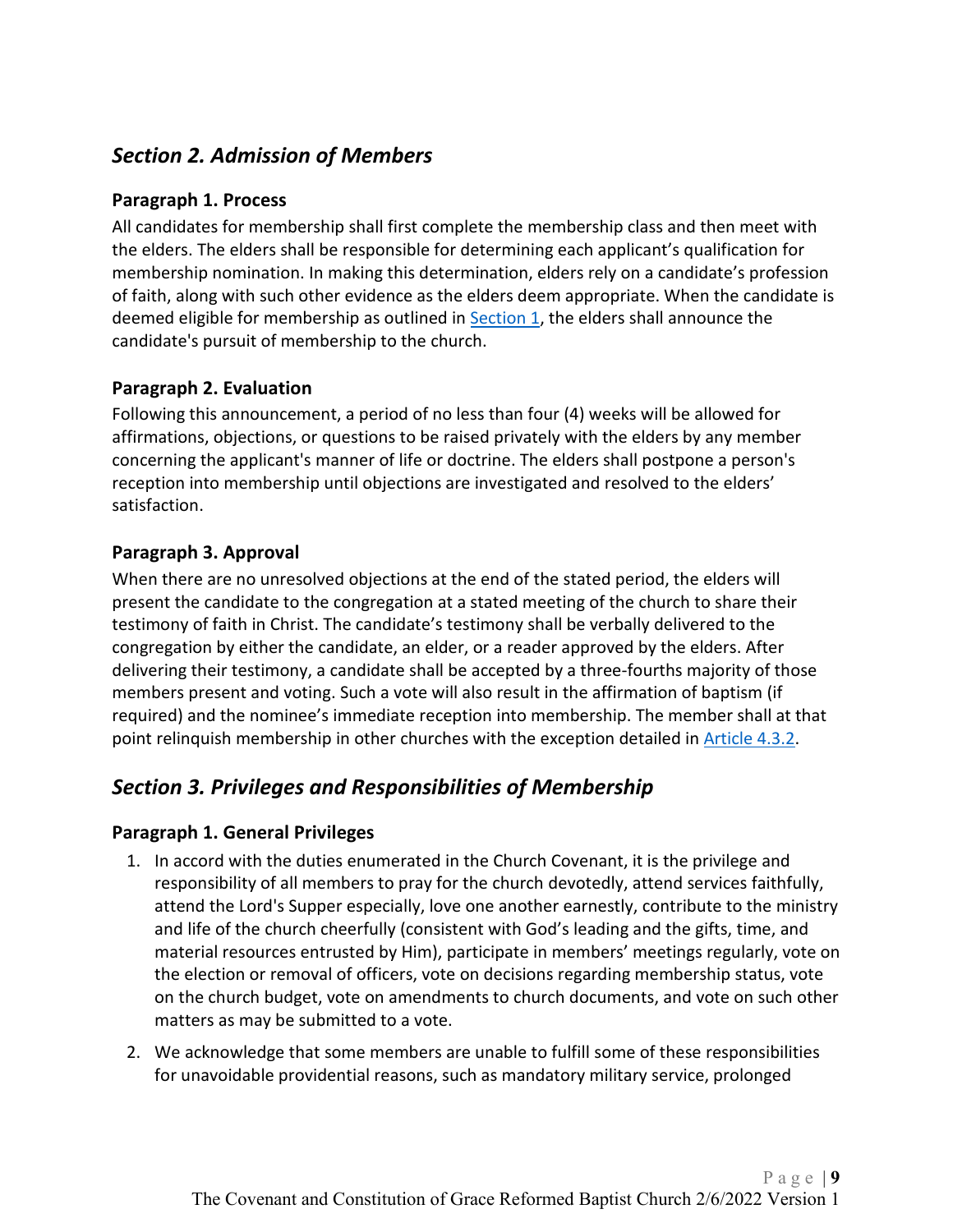# <span id="page-8-6"></span><span id="page-8-0"></span>*Section 2. Admission of Members*

#### <span id="page-8-1"></span>**Paragraph 1. Process**

All candidates for membership shall first complete the membership class and then meet with the elders. The elders shall be responsible for determining each applicant's qualification for membership nomination. In making this determination, elders rely on a candidate's profession of faith, along with such other evidence as the elders deem appropriate. When the candidate is deemed eligible for membership as outlined in [Section 1,](#page-7-5) the elders shall announce the candidate's pursuit of membership to the church.

#### <span id="page-8-2"></span>**Paragraph 2. Evaluation**

Following this announcement, a period of no less than four (4) weeks will be allowed for affirmations, objections, or questions to be raised privately with the elders by any member concerning the applicant's manner of life or doctrine. The elders shall postpone a person's reception into membership until objections are investigated and resolved to the elders' satisfaction.

#### <span id="page-8-3"></span>**Paragraph 3. Approval**

When there are no unresolved objections at the end of the stated period, the elders will present the candidate to the congregation at a stated meeting of the church to share their testimony of faith in Christ. The candidate's testimony shall be verbally delivered to the congregation by either the candidate, an elder, or a reader approved by the elders. After delivering their testimony, a candidate shall be accepted by a three-fourths majority of those members present and voting. Such a vote will also result in the affirmation of baptism (if required) and the nominee's immediate reception into membership. The member shall at that point relinquish membership in other churches with the exception detailed in [Article 4.3.2.](#page-9-0)

# <span id="page-8-4"></span>*Section 3. Privileges and Responsibilities of Membership*

#### <span id="page-8-5"></span>**Paragraph 1. General Privileges**

- 1. In accord with the duties enumerated in the Church Covenant, it is the privilege and responsibility of all members to pray for the church devotedly, attend services faithfully, attend the Lord's Supper especially, love one another earnestly, contribute to the ministry and life of the church cheerfully (consistent with God's leading and the gifts, time, and material resources entrusted by Him), participate in members' meetings regularly, vote on the election or removal of officers, vote on decisions regarding membership status, vote on the church budget, vote on amendments to church documents, and vote on such other matters as may be submitted to a vote.
- 2. We acknowledge that some members are unable to fulfill some of these responsibilities for unavoidable providential reasons, such as mandatory military service, prolonged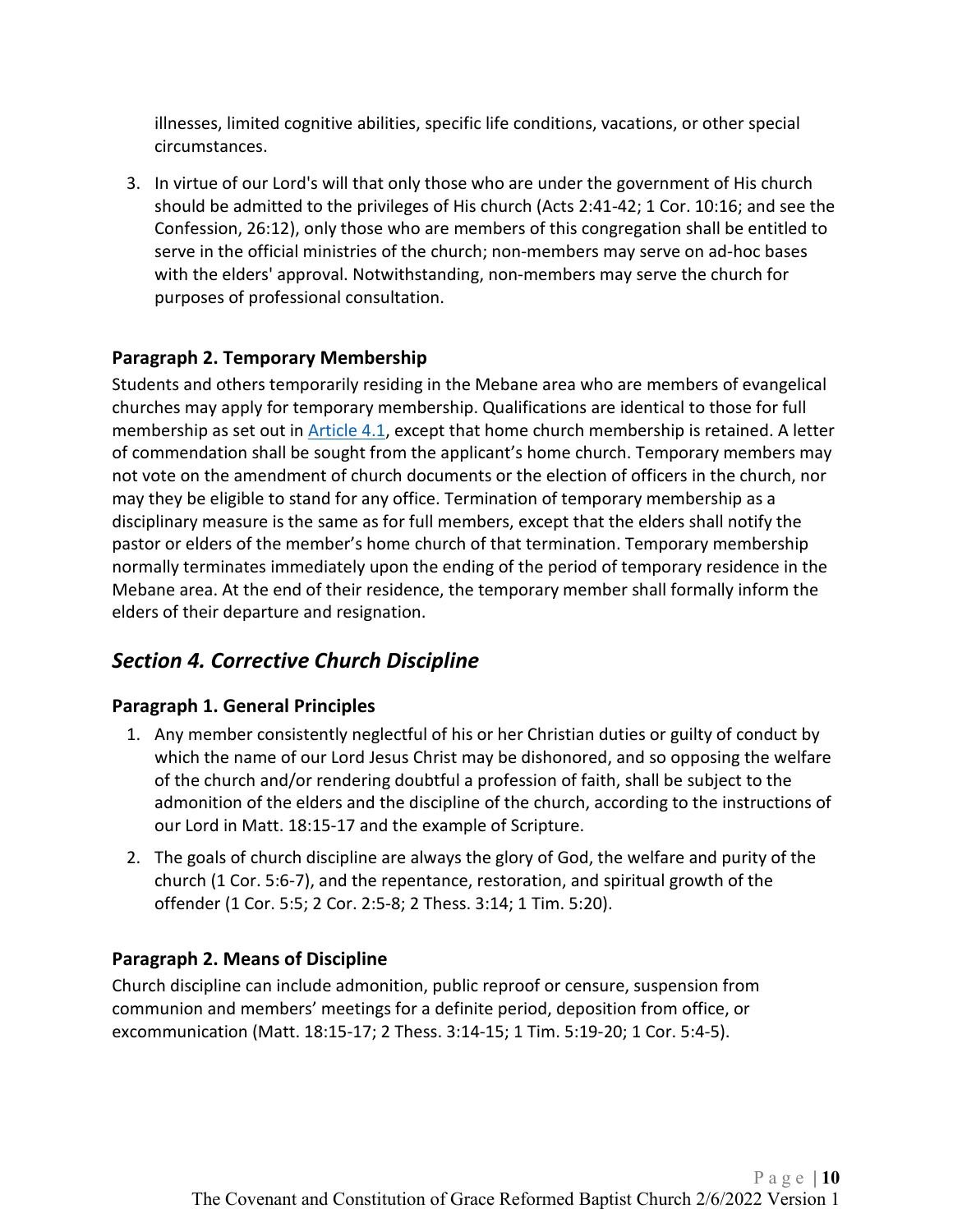illnesses, limited cognitive abilities, specific life conditions, vacations, or other special circumstances.

3. In virtue of our Lord's will that only those who are under the government of His church should be admitted to the privileges of His church (Acts 2:41-42; 1 Cor. 10:16; and see the Confession, 26:12), only those who are members of this congregation shall be entitled to serve in the official ministries of the church; non-members may serve on ad-hoc bases with the elders' approval. Notwithstanding, non-members may serve the church for purposes of professional consultation.

#### <span id="page-9-0"></span>**Paragraph 2. Temporary Membership**

Students and others temporarily residing in the Mebane area who are members of evangelical churches may apply for temporary membership. Qualifications are identical to those for full membership as set out in [Article 4.1,](#page-7-5) except that home church membership is retained. A letter of commendation shall be sought from the applicant's home church. Temporary members may not vote on the amendment of church documents or the election of officers in the church, nor may they be eligible to stand for any office. Termination of temporary membership as a disciplinary measure is the same as for full members, except that the elders shall notify the pastor or elders of the member's home church of that termination. Temporary membership normally terminates immediately upon the ending of the period of temporary residence in the Mebane area. At the end of their residence, the temporary member shall formally inform the elders of their departure and resignation.

# <span id="page-9-1"></span>*Section 4. Corrective Church Discipline*

#### <span id="page-9-2"></span>**Paragraph 1. General Principles**

- 1. Any member consistently neglectful of his or her Christian duties or guilty of conduct by which the name of our Lord Jesus Christ may be dishonored, and so opposing the welfare of the church and/or rendering doubtful a profession of faith, shall be subject to the admonition of the elders and the discipline of the church, according to the instructions of our Lord in Matt. 18:15-17 and the example of Scripture.
- 2. The goals of church discipline are always the glory of God, the welfare and purity of the church (1 Cor. 5:6-7), and the repentance, restoration, and spiritual growth of the offender (1 Cor. 5:5; 2 Cor. 2:5-8; 2 Thess. 3:14; 1 Tim. 5:20).

#### <span id="page-9-3"></span>**Paragraph 2. Means of Discipline**

Church discipline can include admonition, public reproof or censure, suspension from communion and members' meetings for a definite period, deposition from office, or excommunication (Matt. 18:15-17; 2 Thess. 3:14-15; 1 Tim. 5:19-20; 1 Cor. 5:4-5).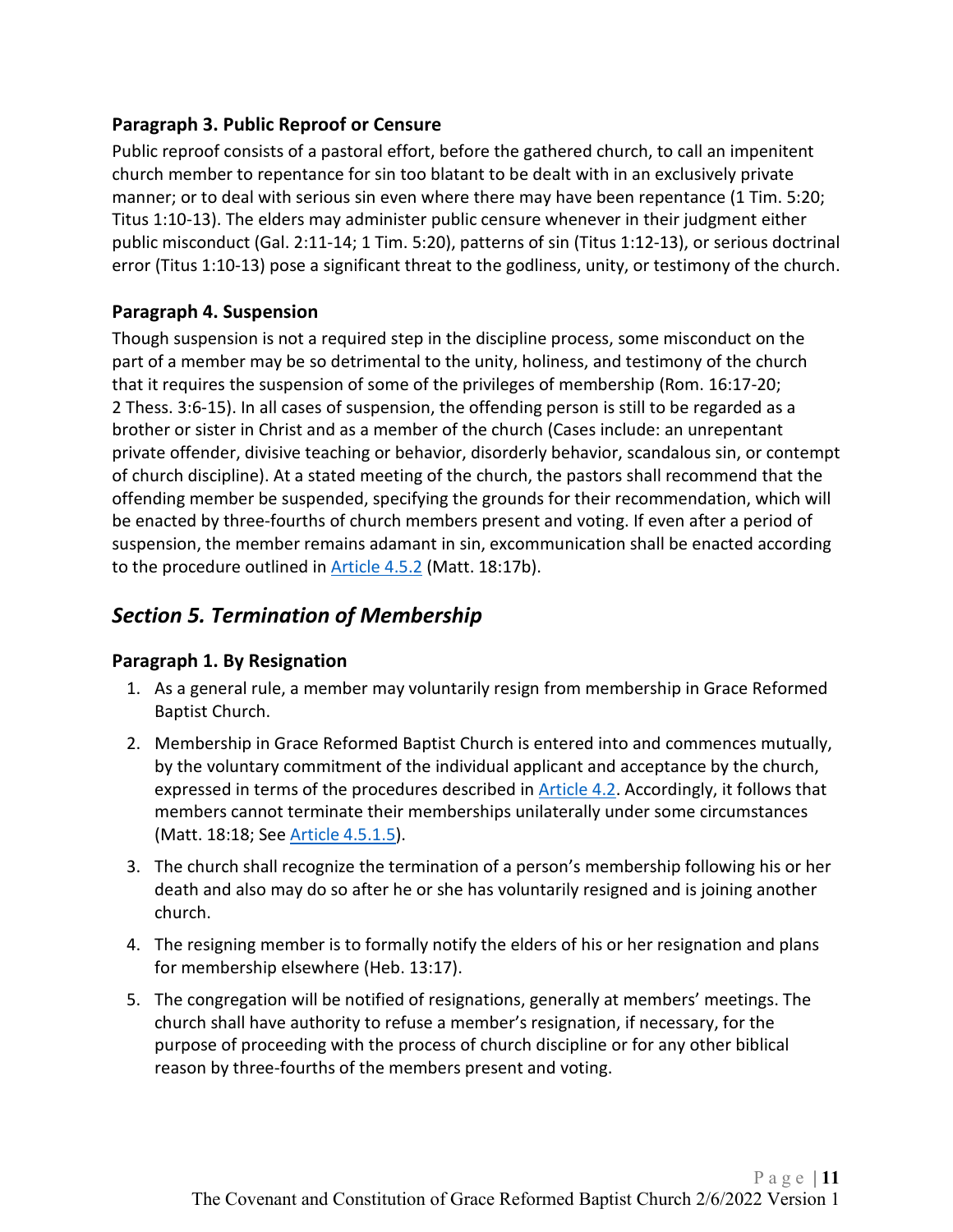#### <span id="page-10-0"></span>**Paragraph 3. Public Reproof or Censure**

Public reproof consists of a pastoral effort, before the gathered church, to call an impenitent church member to repentance for sin too blatant to be dealt with in an exclusively private manner; or to deal with serious sin even where there may have been repentance (1 Tim. 5:20; Titus 1:10-13). The elders may administer public censure whenever in their judgment either public misconduct (Gal. 2:11-14; 1 Tim. 5:20), patterns of sin (Titus 1:12-13), or serious doctrinal error (Titus 1:10-13) pose a significant threat to the godliness, unity, or testimony of the church.

#### <span id="page-10-1"></span>**Paragraph 4. Suspension**

Though suspension is not a required step in the discipline process, some misconduct on the part of a member may be so detrimental to the unity, holiness, and testimony of the church that it requires the suspension of some of the privileges of membership (Rom. 16:17-20; 2 Thess. 3:6-15). In all cases of suspension, the offending person is still to be regarded as a brother or sister in Christ and as a member of the church (Cases include: an unrepentant private offender, divisive teaching or behavior, disorderly behavior, scandalous sin, or contempt of church discipline). At a stated meeting of the church, the pastors shall recommend that the offending member be suspended, specifying the grounds for their recommendation, which will be enacted by three-fourths of church members present and voting. If even after a period of suspension, the member remains adamant in sin, excommunication shall be enacted according to the procedure outlined in **Article 4.5.2** (Matt. 18:17b).

# <span id="page-10-2"></span>*Section 5. Termination of Membership*

#### <span id="page-10-3"></span>**Paragraph 1. By Resignation**

- 1. As a general rule, a member may voluntarily resign from membership in Grace Reformed Baptist Church.
- 2. Membership in Grace Reformed Baptist Church is entered into and commences mutually, by the voluntary commitment of the individual applicant and acceptance by the church, expressed in terms of the procedures described in [Article 4.2.](#page-8-6) Accordingly, it follows that members cannot terminate their memberships unilaterally under some circumstances (Matt. 18:18; See [Article 4.5.1.5\)](#page-10-3).
- 3. The church shall recognize the termination of a person's membership following his or her death and also may do so after he or she has voluntarily resigned and is joining another church.
- 4. The resigning member is to formally notify the elders of his or her resignation and plans for membership elsewhere (Heb. 13:17).
- 5. The congregation will be notified of resignations, generally at members' meetings. The church shall have authority to refuse a member's resignation, if necessary, for the purpose of proceeding with the process of church discipline or for any other biblical reason by three-fourths of the members present and voting.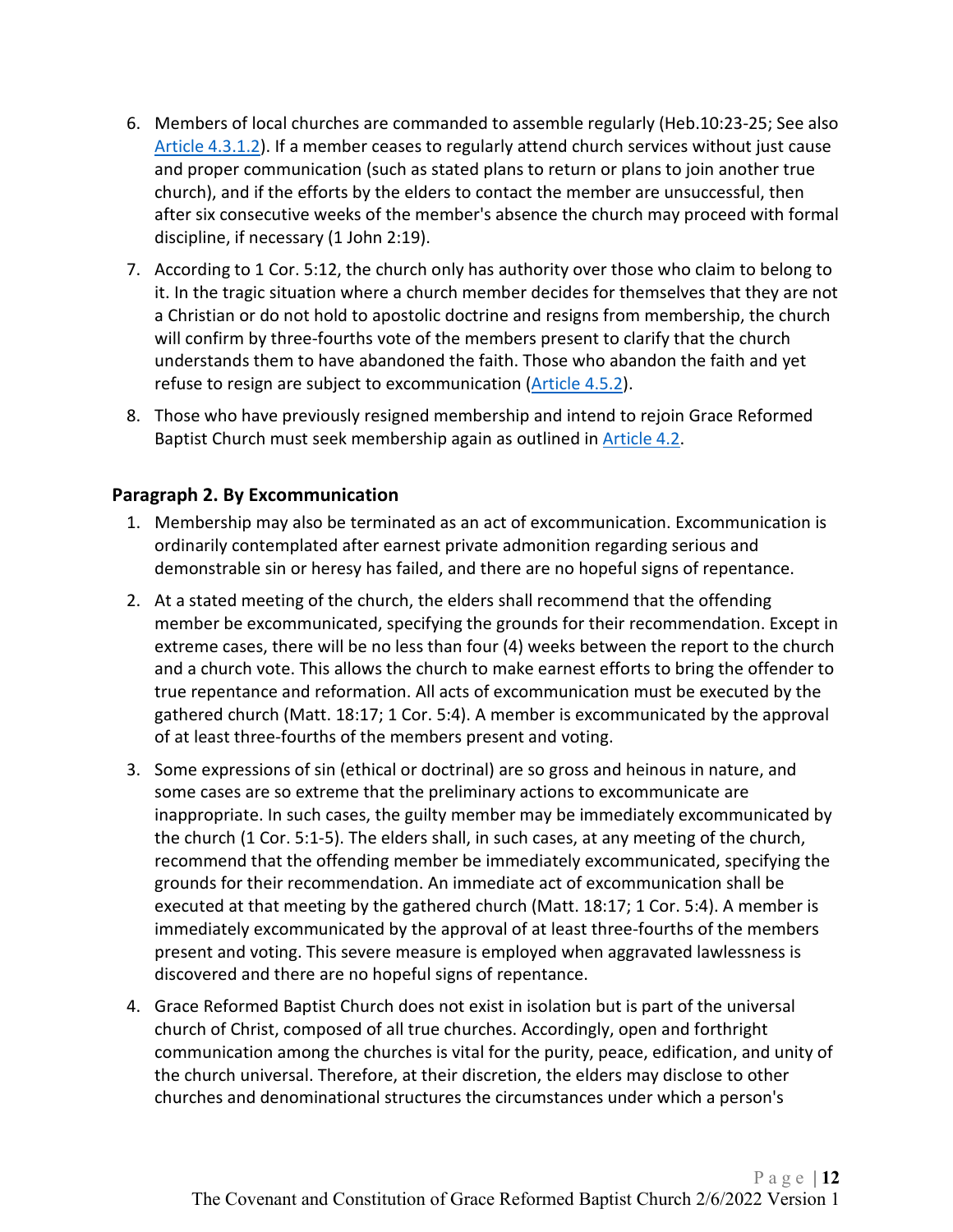- 6. Members of local churches are commanded to assemble regularly (Heb.10:23-25; See also [Article 4.3.1.2\)](#page-8-5). If a member ceases to regularly attend church services without just cause and proper communication (such as stated plans to return or plans to join another true church), and if the efforts by the elders to contact the member are unsuccessful, then after six consecutive weeks of the member's absence the church may proceed with formal discipline, if necessary (1 John 2:19).
- 7. According to 1 Cor. 5:12, the church only has authority over those who claim to belong to it. In the tragic situation where a church member decides for themselves that they are not a Christian or do not hold to apostolic doctrine and resigns from membership, the church will confirm by three-fourths vote of the members present to clarify that the church understands them to have abandoned the faith. Those who abandon the faith and yet refuse to resign are subject to excommunication [\(Article 4.5.2\)](#page-11-0).
- 8. Those who have previously resigned membership and intend to rejoin Grace Reformed Baptist Church must seek membership again as outlined in [Article 4.2.](#page-8-6)

#### <span id="page-11-0"></span>**Paragraph 2. By Excommunication**

- 1. Membership may also be terminated as an act of excommunication. Excommunication is ordinarily contemplated after earnest private admonition regarding serious and demonstrable sin or heresy has failed, and there are no hopeful signs of repentance.
- 2. At a stated meeting of the church, the elders shall recommend that the offending member be excommunicated, specifying the grounds for their recommendation. Except in extreme cases, there will be no less than four (4) weeks between the report to the church and a church vote. This allows the church to make earnest efforts to bring the offender to true repentance and reformation. All acts of excommunication must be executed by the gathered church (Matt. 18:17; 1 Cor. 5:4). A member is excommunicated by the approval of at least three-fourths of the members present and voting.
- 3. Some expressions of sin (ethical or doctrinal) are so gross and heinous in nature, and some cases are so extreme that the preliminary actions to excommunicate are inappropriate. In such cases, the guilty member may be immediately excommunicated by the church (1 Cor. 5:1-5). The elders shall, in such cases, at any meeting of the church, recommend that the offending member be immediately excommunicated, specifying the grounds for their recommendation. An immediate act of excommunication shall be executed at that meeting by the gathered church (Matt. 18:17; 1 Cor. 5:4). A member is immediately excommunicated by the approval of at least three-fourths of the members present and voting. This severe measure is employed when aggravated lawlessness is discovered and there are no hopeful signs of repentance.
- 4. Grace Reformed Baptist Church does not exist in isolation but is part of the universal church of Christ, composed of all true churches. Accordingly, open and forthright communication among the churches is vital for the purity, peace, edification, and unity of the church universal. Therefore, at their discretion, the elders may disclose to other churches and denominational structures the circumstances under which a person's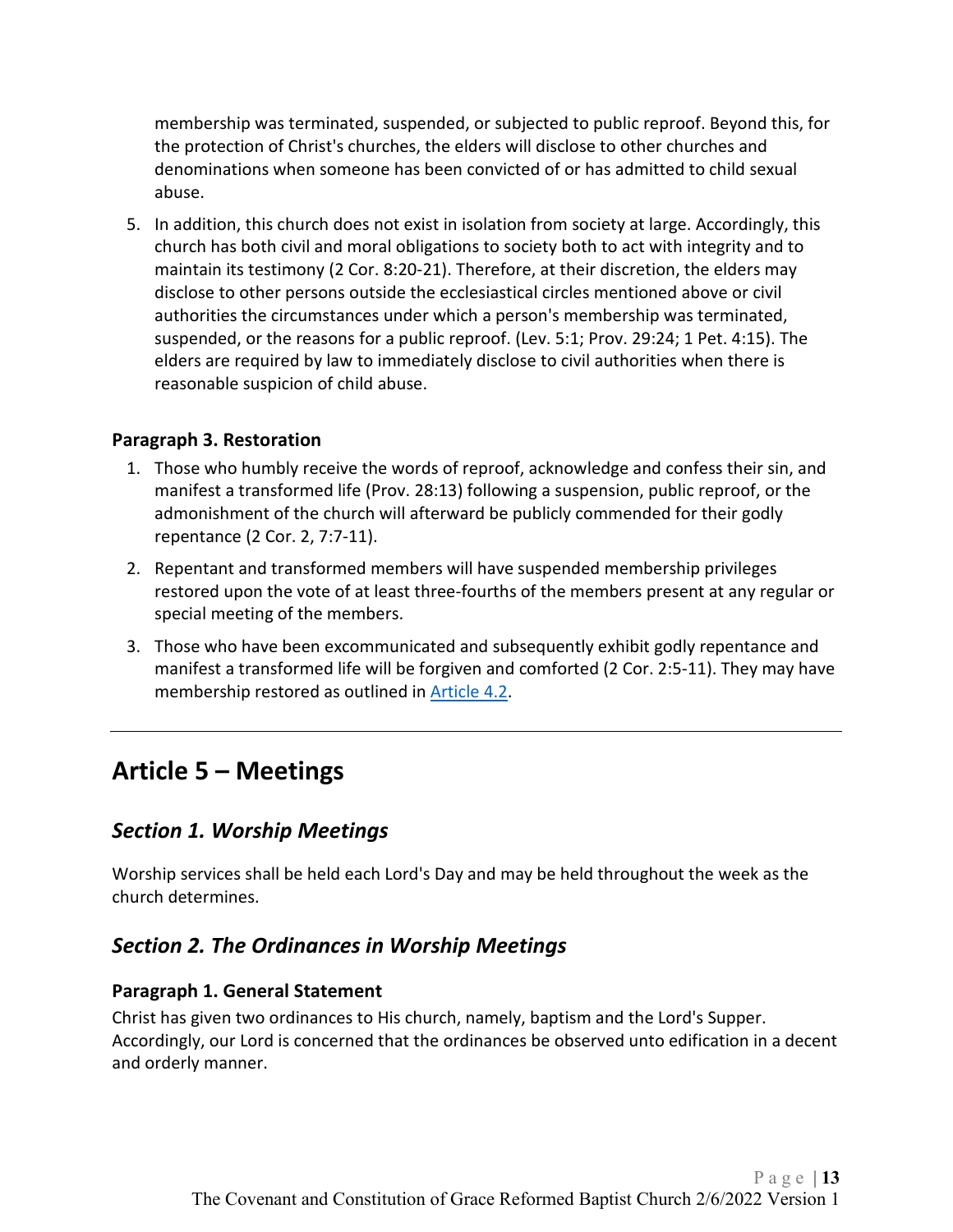membership was terminated, suspended, or subjected to public reproof. Beyond this, for the protection of Christ's churches, the elders will disclose to other churches and denominations when someone has been convicted of or has admitted to child sexual abuse.

5. In addition, this church does not exist in isolation from society at large. Accordingly, this church has both civil and moral obligations to society both to act with integrity and to maintain its testimony (2 Cor. 8:20-21). Therefore, at their discretion, the elders may disclose to other persons outside the ecclesiastical circles mentioned above or civil authorities the circumstances under which a person's membership was terminated, suspended, or the reasons for a public reproof. (Lev. 5:1; Prov. 29:24; 1 Pet. 4:15). The elders are required by law to immediately disclose to civil authorities when there is reasonable suspicion of child abuse.

#### <span id="page-12-0"></span>**Paragraph 3. Restoration**

- 1. Those who humbly receive the words of reproof, acknowledge and confess their sin, and manifest a transformed life (Prov. 28:13) following a suspension, public reproof, or the admonishment of the church will afterward be publicly commended for their godly repentance (2 Cor. 2, 7:7-11).
- 2. Repentant and transformed members will have suspended membership privileges restored upon the vote of at least three-fourths of the members present at any regular or special meeting of the members.
- 3. Those who have been excommunicated and subsequently exhibit godly repentance and manifest a transformed life will be forgiven and comforted (2 Cor. 2:5-11). They may have membership restored as outlined in **Article 4.2.**

# <span id="page-12-1"></span>**Article 5 – Meetings**

#### <span id="page-12-2"></span>*Section 1. Worship Meetings*

Worship services shall be held each Lord's Day and may be held throughout the week as the church determines.

#### <span id="page-12-3"></span>*Section 2. The Ordinances in Worship Meetings*

#### <span id="page-12-4"></span>**Paragraph 1. General Statement**

Christ has given two ordinances to His church, namely, baptism and the Lord's Supper. Accordingly, our Lord is concerned that the ordinances be observed unto edification in a decent and orderly manner.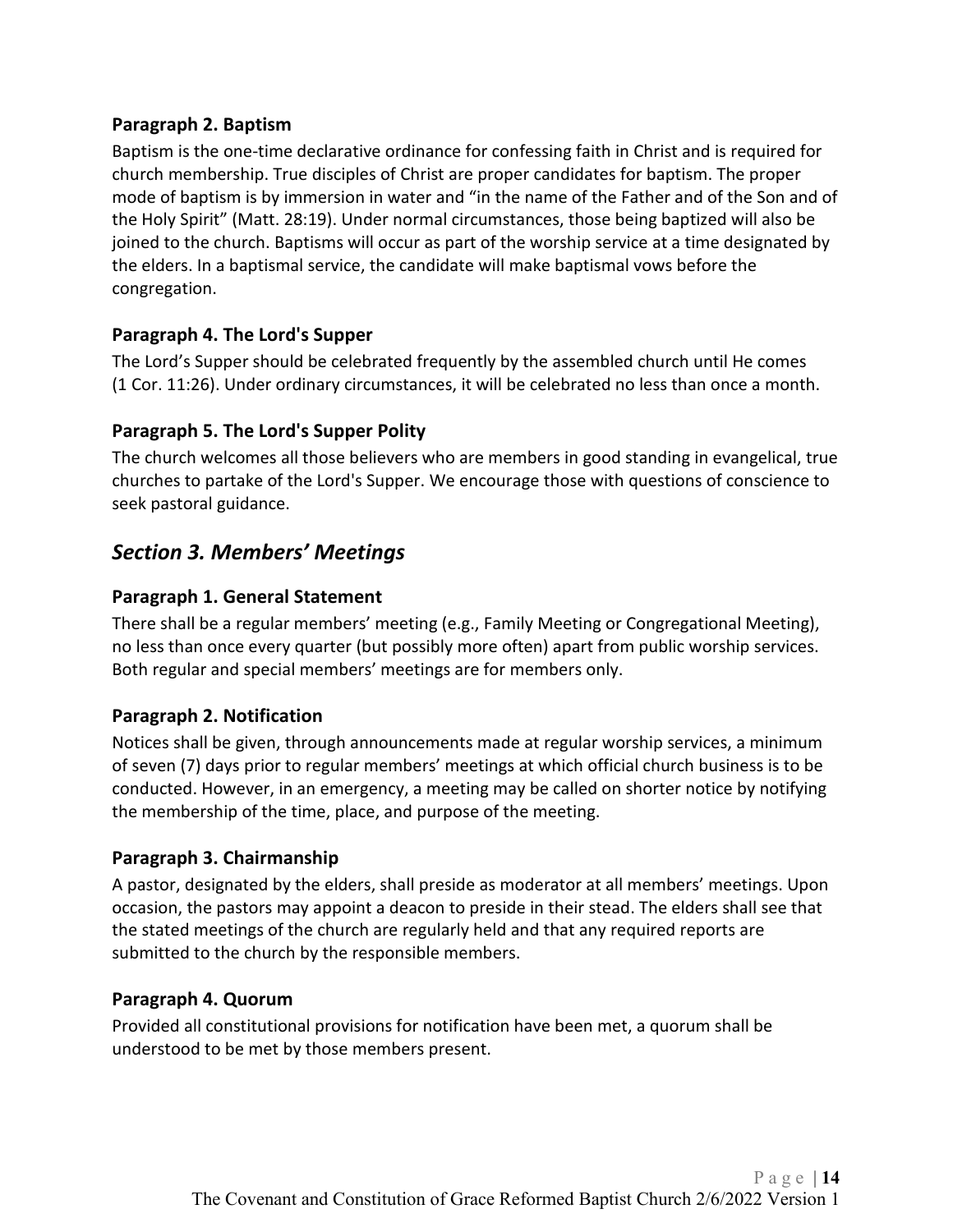#### <span id="page-13-0"></span>**Paragraph 2. Baptism**

Baptism is the one-time declarative ordinance for confessing faith in Christ and is required for church membership. True disciples of Christ are proper candidates for baptism. The proper mode of baptism is by immersion in water and "in the name of the Father and of the Son and of the Holy Spirit" (Matt. 28:19). Under normal circumstances, those being baptized will also be joined to the church. Baptisms will occur as part of the worship service at a time designated by the elders. In a baptismal service, the candidate will make baptismal vows before the congregation.

#### <span id="page-13-1"></span>**Paragraph 4. The Lord's Supper**

The Lord's Supper should be celebrated frequently by the assembled church until He comes (1 Cor. 11:26). Under ordinary circumstances, it will be celebrated no less than once a month.

#### <span id="page-13-2"></span>**Paragraph 5. The Lord's Supper Polity**

The church welcomes all those believers who are members in good standing in evangelical, true churches to partake of the Lord's Supper. We encourage those with questions of conscience to seek pastoral guidance.

### <span id="page-13-3"></span>*Section 3. Members' Meetings*

#### <span id="page-13-4"></span>**Paragraph 1. General Statement**

There shall be a regular members' meeting (e.g., Family Meeting or Congregational Meeting), no less than once every quarter (but possibly more often) apart from public worship services. Both regular and special members' meetings are for members only.

#### <span id="page-13-5"></span>**Paragraph 2. Notification**

Notices shall be given, through announcements made at regular worship services, a minimum of seven (7) days prior to regular members' meetings at which official church business is to be conducted. However, in an emergency, a meeting may be called on shorter notice by notifying the membership of the time, place, and purpose of the meeting.

#### <span id="page-13-6"></span>**Paragraph 3. Chairmanship**

A pastor, designated by the elders, shall preside as moderator at all members' meetings. Upon occasion, the pastors may appoint a deacon to preside in their stead. The elders shall see that the stated meetings of the church are regularly held and that any required reports are submitted to the church by the responsible members.

#### <span id="page-13-7"></span>**Paragraph 4. Quorum**

Provided all constitutional provisions for notification have been met, a quorum shall be understood to be met by those members present.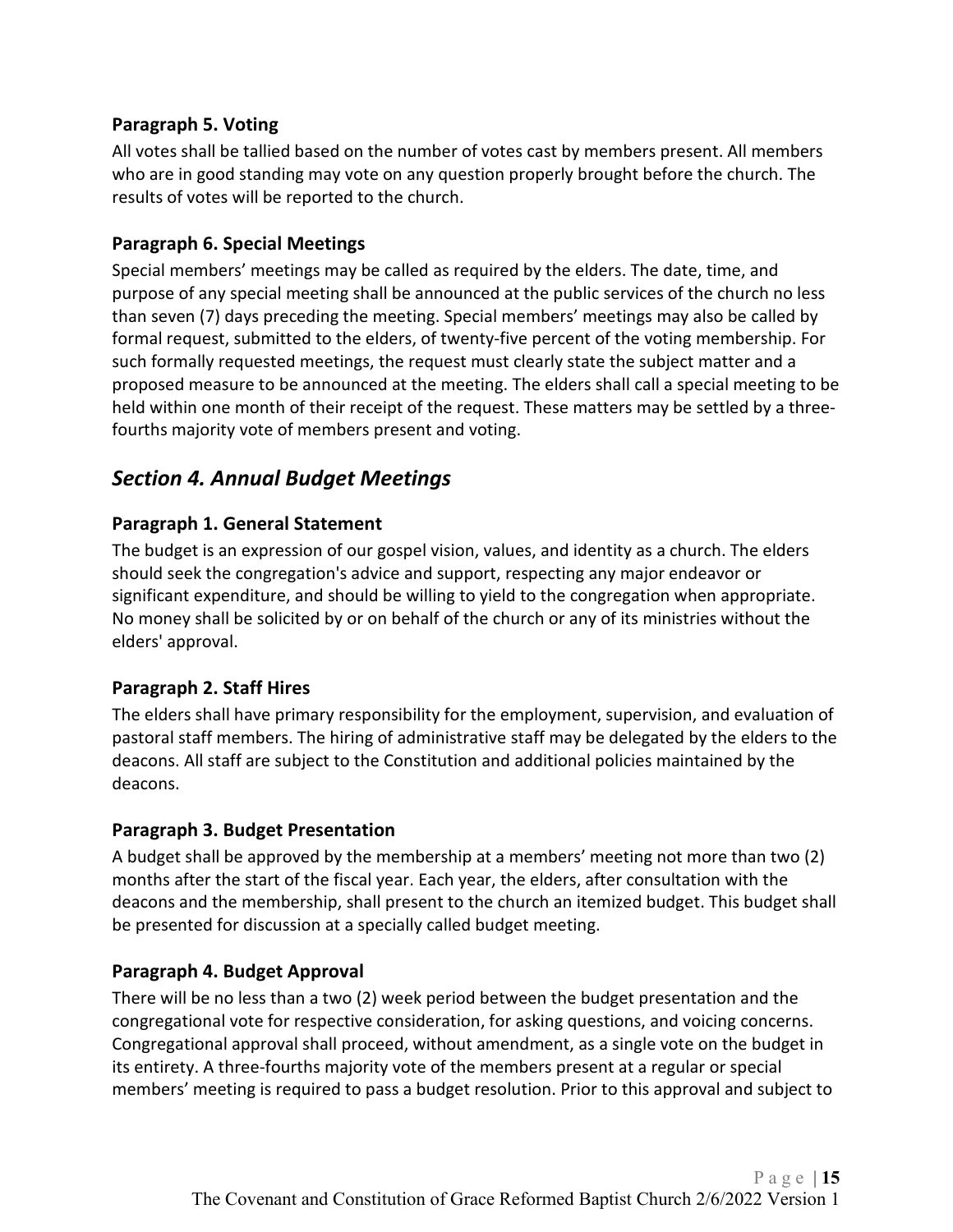#### <span id="page-14-0"></span>**Paragraph 5. Voting**

All votes shall be tallied based on the number of votes cast by members present. All members who are in good standing may vote on any question properly brought before the church. The results of votes will be reported to the church.

#### <span id="page-14-1"></span>**Paragraph 6. Special Meetings**

Special members' meetings may be called as required by the elders. The date, time, and purpose of any special meeting shall be announced at the public services of the church no less than seven (7) days preceding the meeting. Special members' meetings may also be called by formal request, submitted to the elders, of twenty-five percent of the voting membership. For such formally requested meetings, the request must clearly state the subject matter and a proposed measure to be announced at the meeting. The elders shall call a special meeting to be held within one month of their receipt of the request. These matters may be settled by a threefourths majority vote of members present and voting.

## <span id="page-14-2"></span>*Section 4. Annual Budget Meetings*

#### <span id="page-14-3"></span>**Paragraph 1. General Statement**

The budget is an expression of our gospel vision, values, and identity as a church. The elders should seek the congregation's advice and support, respecting any major endeavor or significant expenditure, and should be willing to yield to the congregation when appropriate. No money shall be solicited by or on behalf of the church or any of its ministries without the elders' approval.

#### <span id="page-14-4"></span>**Paragraph 2. Staff Hires**

The elders shall have primary responsibility for the employment, supervision, and evaluation of pastoral staff members. The hiring of administrative staff may be delegated by the elders to the deacons. All staff are subject to the Constitution and additional policies maintained by the deacons.

#### <span id="page-14-5"></span>**Paragraph 3. Budget Presentation**

A budget shall be approved by the membership at a members' meeting not more than two (2) months after the start of the fiscal year. Each year, the elders, after consultation with the deacons and the membership, shall present to the church an itemized budget. This budget shall be presented for discussion at a specially called budget meeting.

#### <span id="page-14-6"></span>**Paragraph 4. Budget Approval**

There will be no less than a two (2) week period between the budget presentation and the congregational vote for respective consideration, for asking questions, and voicing concerns. Congregational approval shall proceed, without amendment, as a single vote on the budget in its entirety. A three-fourths majority vote of the members present at a regular or special members' meeting is required to pass a budget resolution. Prior to this approval and subject to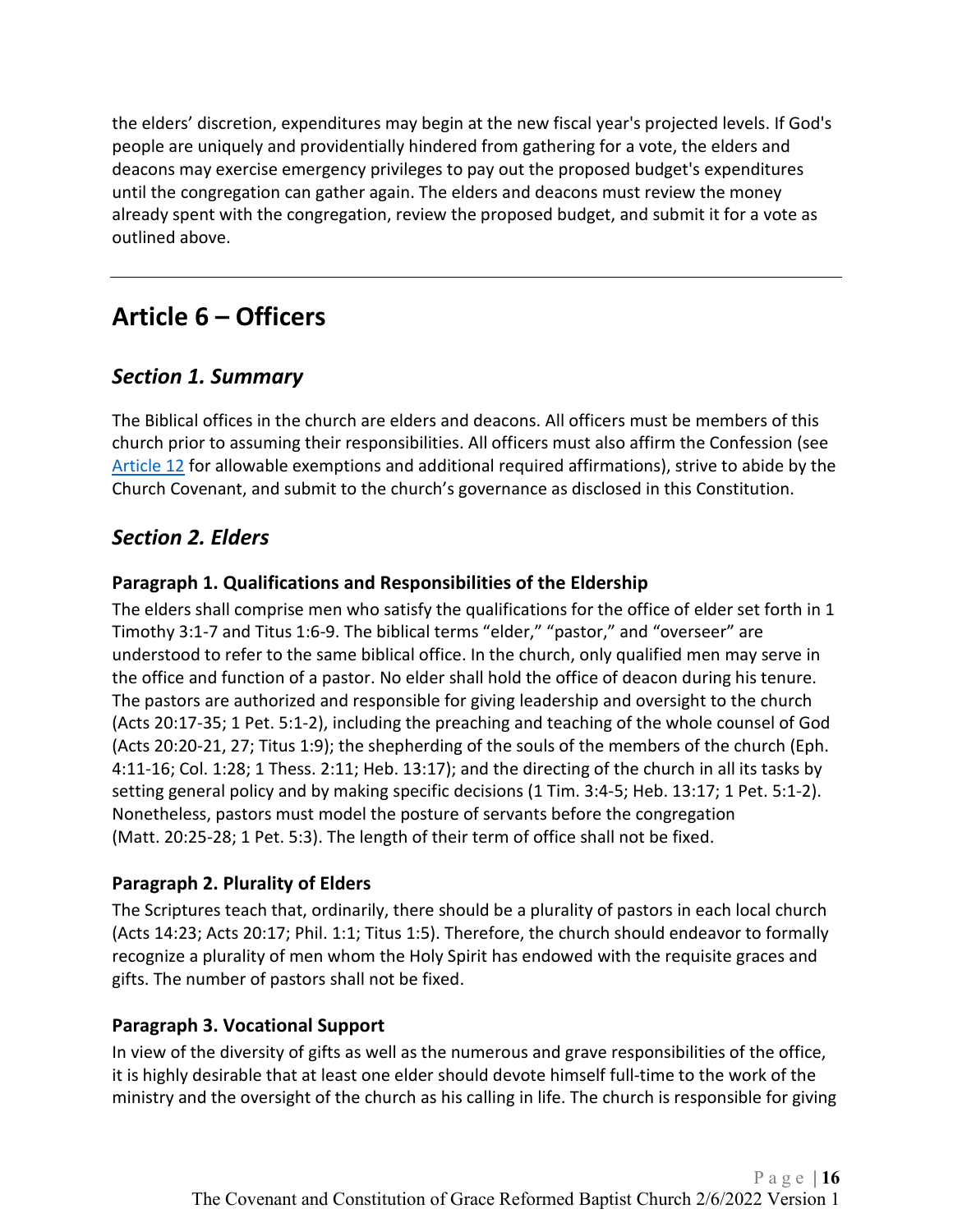the elders' discretion, expenditures may begin at the new fiscal year's projected levels. If God's people are uniquely and providentially hindered from gathering for a vote, the elders and deacons may exercise emergency privileges to pay out the proposed budget's expenditures until the congregation can gather again. The elders and deacons must review the money already spent with the congregation, review the proposed budget, and submit it for a vote as outlined above.

# <span id="page-15-0"></span>**Article 6 – Officers**

## <span id="page-15-1"></span>*Section 1. Summary*

The Biblical offices in the church are elders and deacons. All officers must be members of this church prior to assuming their responsibilities. All officers must also affirm the Confession (see [Article 12](#page-23-0) for allowable exemptions and additional required affirmations), strive to abide by the Church Covenant, and submit to the church's governance as disclosed in this Constitution.

## <span id="page-15-2"></span>*Section 2. Elders*

#### <span id="page-15-3"></span>**Paragraph 1. Qualifications and Responsibilities of the Eldership**

The elders shall comprise men who satisfy the qualifications for the office of elder set forth in 1 Timothy 3:1-7 and Titus 1:6-9. The biblical terms "elder," "pastor," and "overseer" are understood to refer to the same biblical office. In the church, only qualified men may serve in the office and function of a pastor. No elder shall hold the office of deacon during his tenure. The pastors are authorized and responsible for giving leadership and oversight to the church (Acts 20:17-35; 1 Pet. 5:1-2), including the preaching and teaching of the whole counsel of God (Acts 20:20-21, 27; Titus 1:9); the shepherding of the souls of the members of the church (Eph. 4:11-16; Col. 1:28; 1 Thess. 2:11; Heb. 13:17); and the directing of the church in all its tasks by setting general policy and by making specific decisions (1 Tim. 3:4-5; Heb. 13:17; 1 Pet. 5:1-2). Nonetheless, pastors must model the posture of servants before the congregation (Matt. 20:25-28; 1 Pet. 5:3). The length of their term of office shall not be fixed.

#### <span id="page-15-4"></span>**Paragraph 2. Plurality of Elders**

The Scriptures teach that, ordinarily, there should be a plurality of pastors in each local church (Acts 14:23; Acts 20:17; Phil. 1:1; Titus 1:5). Therefore, the church should endeavor to formally recognize a plurality of men whom the Holy Spirit has endowed with the requisite graces and gifts. The number of pastors shall not be fixed.

#### <span id="page-15-5"></span>**Paragraph 3. Vocational Support**

In view of the diversity of gifts as well as the numerous and grave responsibilities of the office, it is highly desirable that at least one elder should devote himself full-time to the work of the ministry and the oversight of the church as his calling in life. The church is responsible for giving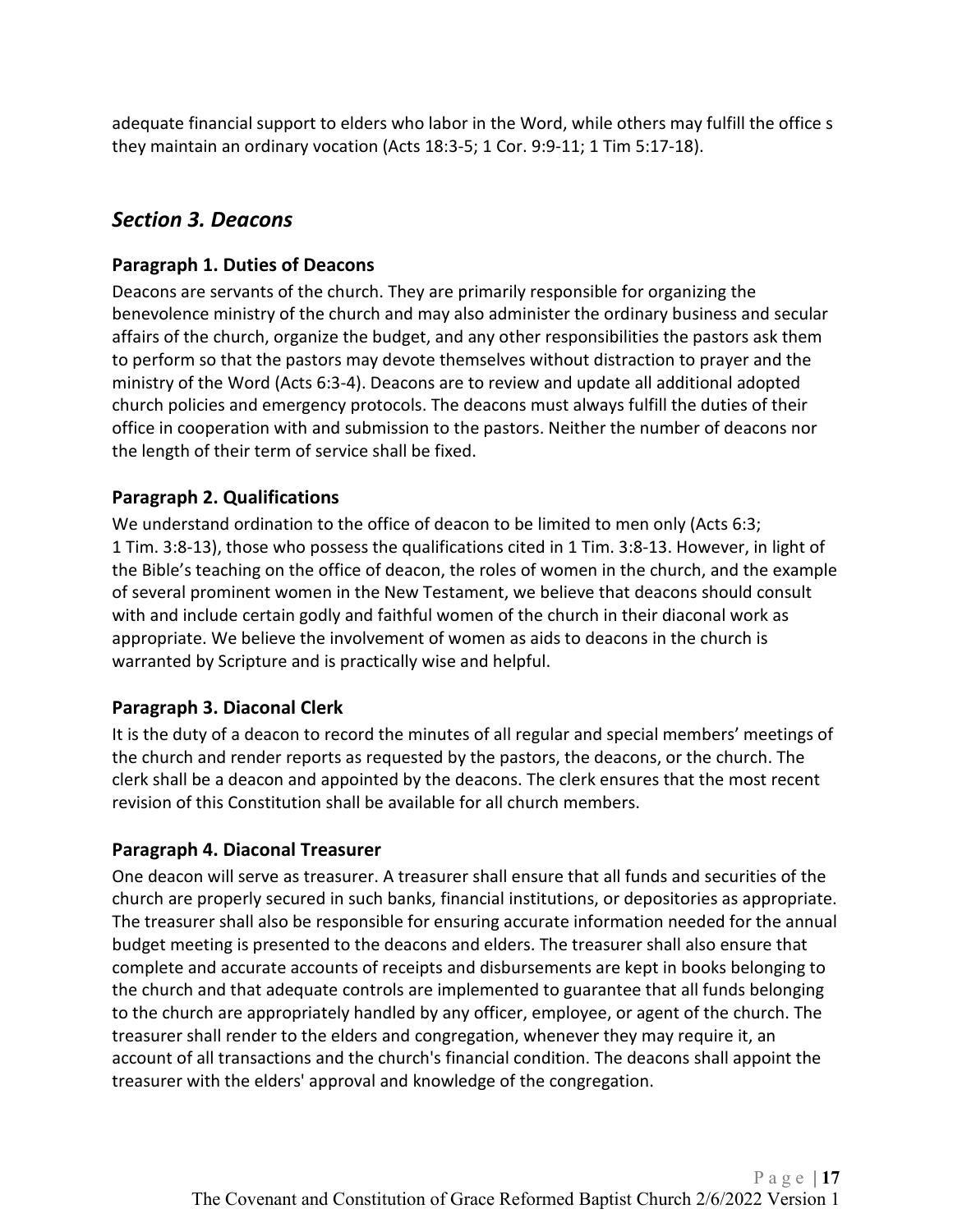adequate financial support to elders who labor in the Word, while others may fulfill the office s they maintain an ordinary vocation (Acts 18:3-5; 1 Cor. 9:9-11; 1 Tim 5:17-18).

## <span id="page-16-0"></span>*Section 3. Deacons*

#### <span id="page-16-1"></span>**Paragraph 1. Duties of Deacons**

Deacons are servants of the church. They are primarily responsible for organizing the benevolence ministry of the church and may also administer the ordinary business and secular affairs of the church, organize the budget, and any other responsibilities the pastors ask them to perform so that the pastors may devote themselves without distraction to prayer and the ministry of the Word (Acts 6:3-4). Deacons are to review and update all additional adopted church policies and emergency protocols. The deacons must always fulfill the duties of their office in cooperation with and submission to the pastors. Neither the number of deacons nor the length of their term of service shall be fixed.

#### <span id="page-16-2"></span>**Paragraph 2. Qualifications**

We understand ordination to the office of deacon to be limited to men only (Acts 6:3; 1 Tim. 3:8-13), those who possess the qualifications cited in 1 Tim. 3:8-13. However, in light of the Bible's teaching on the office of deacon, the roles of women in the church, and the example of several prominent women in the New Testament, we believe that deacons should consult with and include certain godly and faithful women of the church in their diaconal work as appropriate. We believe the involvement of women as aids to deacons in the church is warranted by Scripture and is practically wise and helpful.

#### <span id="page-16-3"></span>**Paragraph 3. Diaconal Clerk**

It is the duty of a deacon to record the minutes of all regular and special members' meetings of the church and render reports as requested by the pastors, the deacons, or the church. The clerk shall be a deacon and appointed by the deacons. The clerk ensures that the most recent revision of this Constitution shall be available for all church members.

#### <span id="page-16-4"></span>**Paragraph 4. Diaconal Treasurer**

One deacon will serve as treasurer. A treasurer shall ensure that all funds and securities of the church are properly secured in such banks, financial institutions, or depositories as appropriate. The treasurer shall also be responsible for ensuring accurate information needed for the annual budget meeting is presented to the deacons and elders. The treasurer shall also ensure that complete and accurate accounts of receipts and disbursements are kept in books belonging to the church and that adequate controls are implemented to guarantee that all funds belonging to the church are appropriately handled by any officer, employee, or agent of the church. The treasurer shall render to the elders and congregation, whenever they may require it, an account of all transactions and the church's financial condition. The deacons shall appoint the treasurer with the elders' approval and knowledge of the congregation.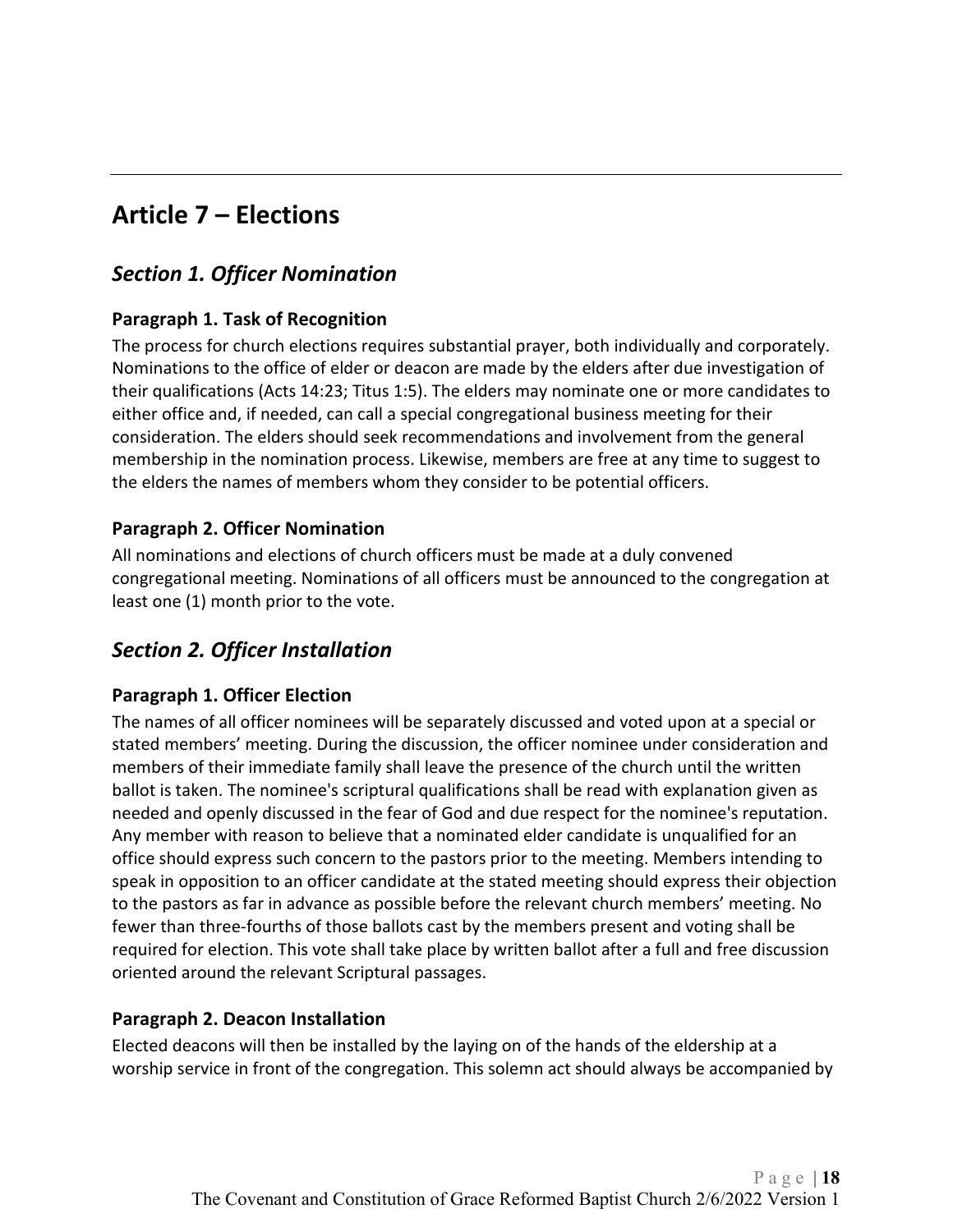# <span id="page-17-0"></span>**Article 7 – Elections**

## <span id="page-17-1"></span>*Section 1. Officer Nomination*

#### <span id="page-17-2"></span>**Paragraph 1. Task of Recognition**

The process for church elections requires substantial prayer, both individually and corporately. Nominations to the office of elder or deacon are made by the elders after due investigation of their qualifications (Acts 14:23; Titus 1:5). The elders may nominate one or more candidates to either office and, if needed, can call a special congregational business meeting for their consideration. The elders should seek recommendations and involvement from the general membership in the nomination process. Likewise, members are free at any time to suggest to the elders the names of members whom they consider to be potential officers.

#### <span id="page-17-3"></span>**Paragraph 2. Officer Nomination**

All nominations and elections of church officers must be made at a duly convened congregational meeting. Nominations of all officers must be announced to the congregation at least one (1) month prior to the vote.

# <span id="page-17-4"></span>*Section 2. Officer Installation*

#### <span id="page-17-5"></span>**Paragraph 1. Officer Election**

The names of all officer nominees will be separately discussed and voted upon at a special or stated members' meeting. During the discussion, the officer nominee under consideration and members of their immediate family shall leave the presence of the church until the written ballot is taken. The nominee's scriptural qualifications shall be read with explanation given as needed and openly discussed in the fear of God and due respect for the nominee's reputation. Any member with reason to believe that a nominated elder candidate is unqualified for an office should express such concern to the pastors prior to the meeting. Members intending to speak in opposition to an officer candidate at the stated meeting should express their objection to the pastors as far in advance as possible before the relevant church members' meeting. No fewer than three-fourths of those ballots cast by the members present and voting shall be required for election. This vote shall take place by written ballot after a full and free discussion oriented around the relevant Scriptural passages.

#### <span id="page-17-6"></span>**Paragraph 2. Deacon Installation**

Elected deacons will then be installed by the laying on of the hands of the eldership at a worship service in front of the congregation. This solemn act should always be accompanied by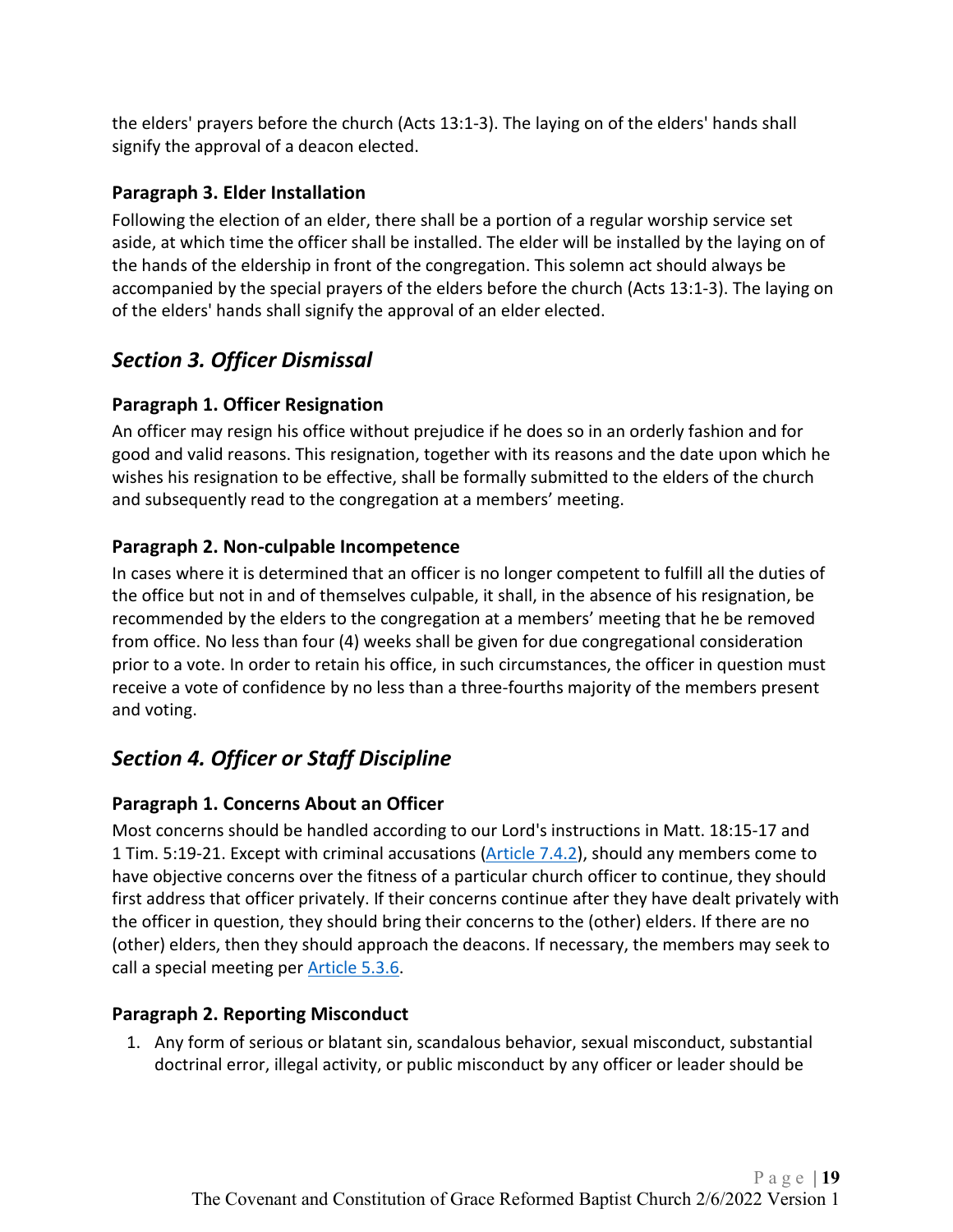the elders' prayers before the church (Acts 13:1-3). The laying on of the elders' hands shall signify the approval of a deacon elected.

#### <span id="page-18-0"></span>**Paragraph 3. Elder Installation**

Following the election of an elder, there shall be a portion of a regular worship service set aside, at which time the officer shall be installed. The elder will be installed by the laying on of the hands of the eldership in front of the congregation. This solemn act should always be accompanied by the special prayers of the elders before the church (Acts 13:1-3). The laying on of the elders' hands shall signify the approval of an elder elected.

## <span id="page-18-1"></span>*Section 3. Officer Dismissal*

#### <span id="page-18-2"></span>**Paragraph 1. Officer Resignation**

An officer may resign his office without prejudice if he does so in an orderly fashion and for good and valid reasons. This resignation, together with its reasons and the date upon which he wishes his resignation to be effective, shall be formally submitted to the elders of the church and subsequently read to the congregation at a members' meeting.

#### <span id="page-18-3"></span>**Paragraph 2. Non-culpable Incompetence**

In cases where it is determined that an officer is no longer competent to fulfill all the duties of the office but not in and of themselves culpable, it shall, in the absence of his resignation, be recommended by the elders to the congregation at a members' meeting that he be removed from office. No less than four (4) weeks shall be given for due congregational consideration prior to a vote. In order to retain his office, in such circumstances, the officer in question must receive a vote of confidence by no less than a three-fourths majority of the members present and voting.

# <span id="page-18-4"></span>*Section 4. Officer or Staff Discipline*

#### <span id="page-18-5"></span>**Paragraph 1. Concerns About an Officer**

Most concerns should be handled according to our Lord's instructions in Matt. 18:15-17 and 1 Tim. 5:19-21. Except with criminal accusations [\(Article 7.4.2\)](#page-18-6), should any members come to have objective concerns over the fitness of a particular church officer to continue, they should first address that officer privately. If their concerns continue after they have dealt privately with the officer in question, they should bring their concerns to the (other) elders. If there are no (other) elders, then they should approach the deacons. If necessary, the members may seek to call a special meeting per [Article 5.3.6.](#page-14-1)

#### <span id="page-18-6"></span>**Paragraph 2. Reporting Misconduct**

1. Any form of serious or blatant sin, scandalous behavior, sexual misconduct, substantial doctrinal error, illegal activity, or public misconduct by any officer or leader should be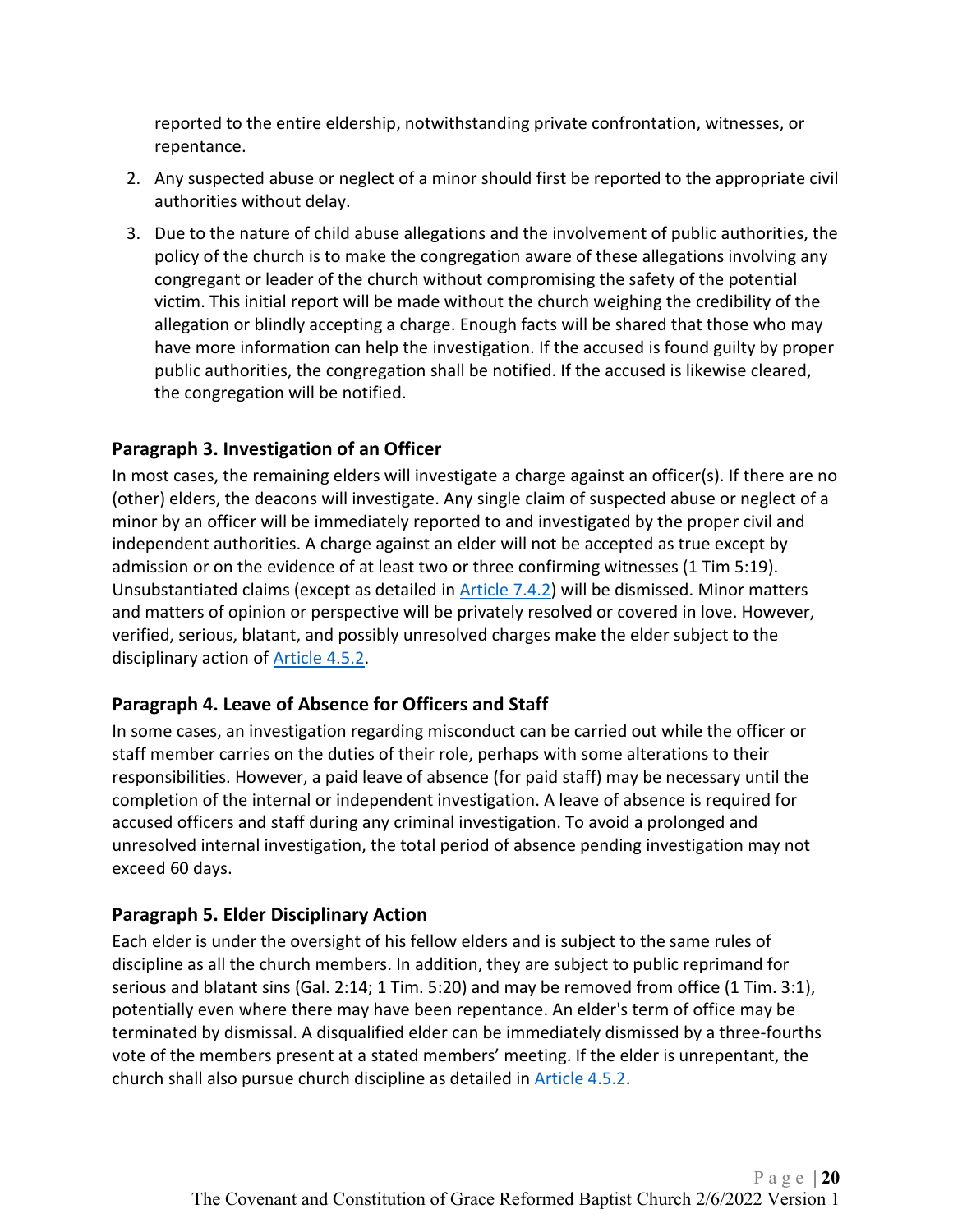reported to the entire eldership, notwithstanding private confrontation, witnesses, or repentance.

- 2. Any suspected abuse or neglect of a minor should first be reported to the appropriate civil authorities without delay.
- 3. Due to the nature of child abuse allegations and the involvement of public authorities, the policy of the church is to make the congregation aware of these allegations involving any congregant or leader of the church without compromising the safety of the potential victim. This initial report will be made without the church weighing the credibility of the allegation or blindly accepting a charge. Enough facts will be shared that those who may have more information can help the investigation. If the accused is found guilty by proper public authorities, the congregation shall be notified. If the accused is likewise cleared, the congregation will be notified.

#### <span id="page-19-0"></span>**Paragraph 3. Investigation of an Officer**

In most cases, the remaining elders will investigate a charge against an officer(s). If there are no (other) elders, the deacons will investigate. Any single claim of suspected abuse or neglect of a minor by an officer will be immediately reported to and investigated by the proper civil and independent authorities. A charge against an elder will not be accepted as true except by admission or on the evidence of at least two or three confirming witnesses (1 Tim 5:19). Unsubstantiated claims (except as detailed in [Article 7.4.2\)](#page-18-6) will be dismissed. Minor matters and matters of opinion or perspective will be privately resolved or covered in love. However, verified, serious, blatant, and possibly unresolved charges make the elder subject to the disciplinary action of [Article 4.5.2.](#page-11-0)

#### <span id="page-19-1"></span>**Paragraph 4. Leave of Absence for Officers and Staff**

In some cases, an investigation regarding misconduct can be carried out while the officer or staff member carries on the duties of their role, perhaps with some alterations to their responsibilities. However, a paid leave of absence (for paid staff) may be necessary until the completion of the internal or independent investigation. A leave of absence is required for accused officers and staff during any criminal investigation. To avoid a prolonged and unresolved internal investigation, the total period of absence pending investigation may not exceed 60 days.

#### <span id="page-19-2"></span>**Paragraph 5. Elder Disciplinary Action**

Each elder is under the oversight of his fellow elders and is subject to the same rules of discipline as all the church members. In addition, they are subject to public reprimand for serious and blatant sins (Gal. 2:14; 1 Tim. 5:20) and may be removed from office (1 Tim. 3:1), potentially even where there may have been repentance. An elder's term of office may be terminated by dismissal. A disqualified elder can be immediately dismissed by a three-fourths vote of the members present at a stated members' meeting. If the elder is unrepentant, the church shall also pursue church discipline as detailed in [Article 4.5.2.](#page-11-0)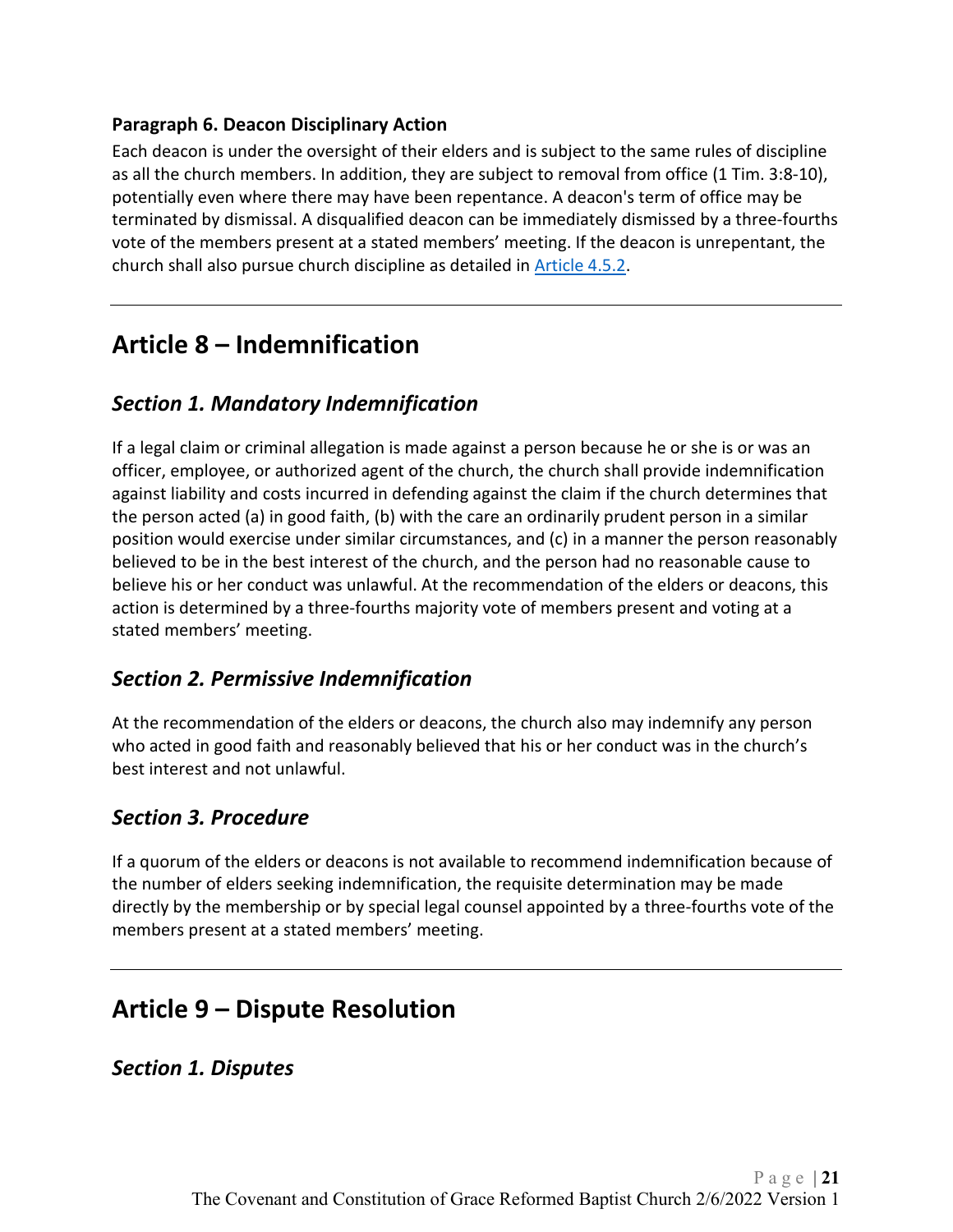#### <span id="page-20-0"></span>**Paragraph 6. Deacon Disciplinary Action**

Each deacon is under the oversight of their elders and is subject to the same rules of discipline as all the church members. In addition, they are subject to removal from office (1 Tim. 3:8-10), potentially even where there may have been repentance. A deacon's term of office may be terminated by dismissal. A disqualified deacon can be immediately dismissed by a three-fourths vote of the members present at a stated members' meeting. If the deacon is unrepentant, the church shall also pursue church discipline as detailed in [Article 4.5.2.](#page-11-0)

# <span id="page-20-1"></span>**Article 8 – Indemnification**

## <span id="page-20-2"></span>*Section 1. Mandatory Indemnification*

If a legal claim or criminal allegation is made against a person because he or she is or was an officer, employee, or authorized agent of the church, the church shall provide indemnification against liability and costs incurred in defending against the claim if the church determines that the person acted (a) in good faith, (b) with the care an ordinarily prudent person in a similar position would exercise under similar circumstances, and (c) in a manner the person reasonably believed to be in the best interest of the church, and the person had no reasonable cause to believe his or her conduct was unlawful. At the recommendation of the elders or deacons, this action is determined by a three-fourths majority vote of members present and voting at a stated members' meeting.

#### <span id="page-20-3"></span>*Section 2. Permissive Indemnification*

At the recommendation of the elders or deacons, the church also may indemnify any person who acted in good faith and reasonably believed that his or her conduct was in the church's best interest and not unlawful.

## <span id="page-20-4"></span>*Section 3. Procedure*

If a quorum of the elders or deacons is not available to recommend indemnification because of the number of elders seeking indemnification, the requisite determination may be made directly by the membership or by special legal counsel appointed by a three-fourths vote of the members present at a stated members' meeting.

# <span id="page-20-5"></span>**Article 9 – Dispute Resolution**

<span id="page-20-6"></span>*Section 1. Disputes*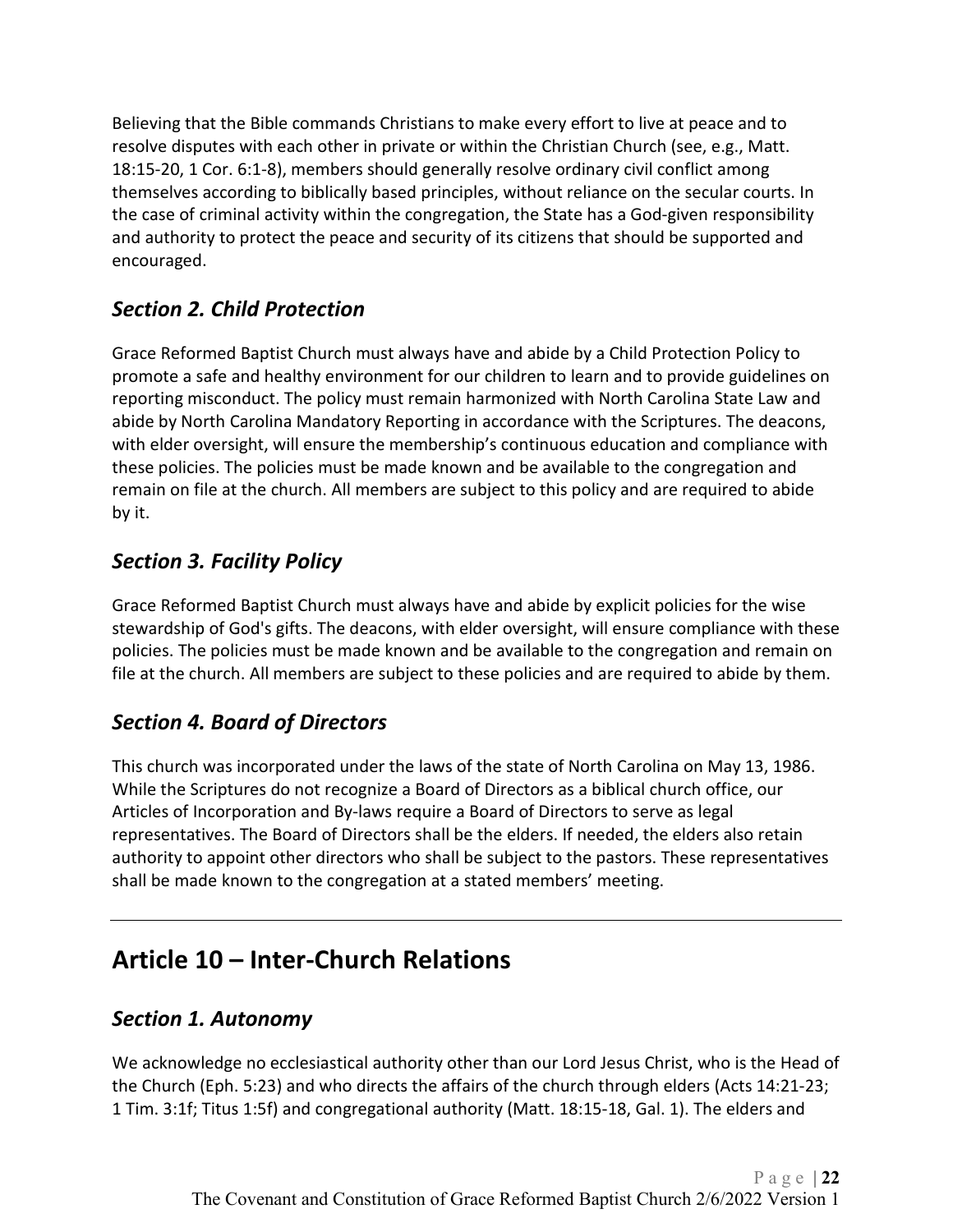Believing that the Bible commands Christians to make every effort to live at peace and to resolve disputes with each other in private or within the Christian Church (see, e.g., Matt. 18:15-20, 1 Cor. 6:1-8), members should generally resolve ordinary civil conflict among themselves according to biblically based principles, without reliance on the secular courts. In the case of criminal activity within the congregation, the State has a God-given responsibility and authority to protect the peace and security of its citizens that should be supported and encouraged.

# <span id="page-21-0"></span>*Section 2. Child Protection*

Grace Reformed Baptist Church must always have and abide by a Child Protection Policy to promote a safe and healthy environment for our children to learn and to provide guidelines on reporting misconduct. The policy must remain harmonized with North Carolina State Law and abide by North Carolina Mandatory Reporting in accordance with the Scriptures. The deacons, with elder oversight, will ensure the membership's continuous education and compliance with these policies. The policies must be made known and be available to the congregation and remain on file at the church. All members are subject to this policy and are required to abide by it.

# <span id="page-21-1"></span>*Section 3. Facility Policy*

Grace Reformed Baptist Church must always have and abide by explicit policies for the wise stewardship of God's gifts. The deacons, with elder oversight, will ensure compliance with these policies. The policies must be made known and be available to the congregation and remain on file at the church. All members are subject to these policies and are required to abide by them.

# <span id="page-21-2"></span>*Section 4. Board of Directors*

This church was incorporated under the laws of the state of North Carolina on May 13, 1986. While the Scriptures do not recognize a Board of Directors as a biblical church office, our Articles of Incorporation and By-laws require a Board of Directors to serve as legal representatives. The Board of Directors shall be the elders. If needed, the elders also retain authority to appoint other directors who shall be subject to the pastors. These representatives shall be made known to the congregation at a stated members' meeting.

# <span id="page-21-3"></span>**Article 10 – Inter-Church Relations**

## <span id="page-21-4"></span>*Section 1. Autonomy*

We acknowledge no ecclesiastical authority other than our Lord Jesus Christ, who is the Head of the Church (Eph. 5:23) and who directs the affairs of the church through elders (Acts 14:21-23; 1 Tim. 3:1f; Titus 1:5f) and congregational authority (Matt. 18:15-18, Gal. 1). The elders and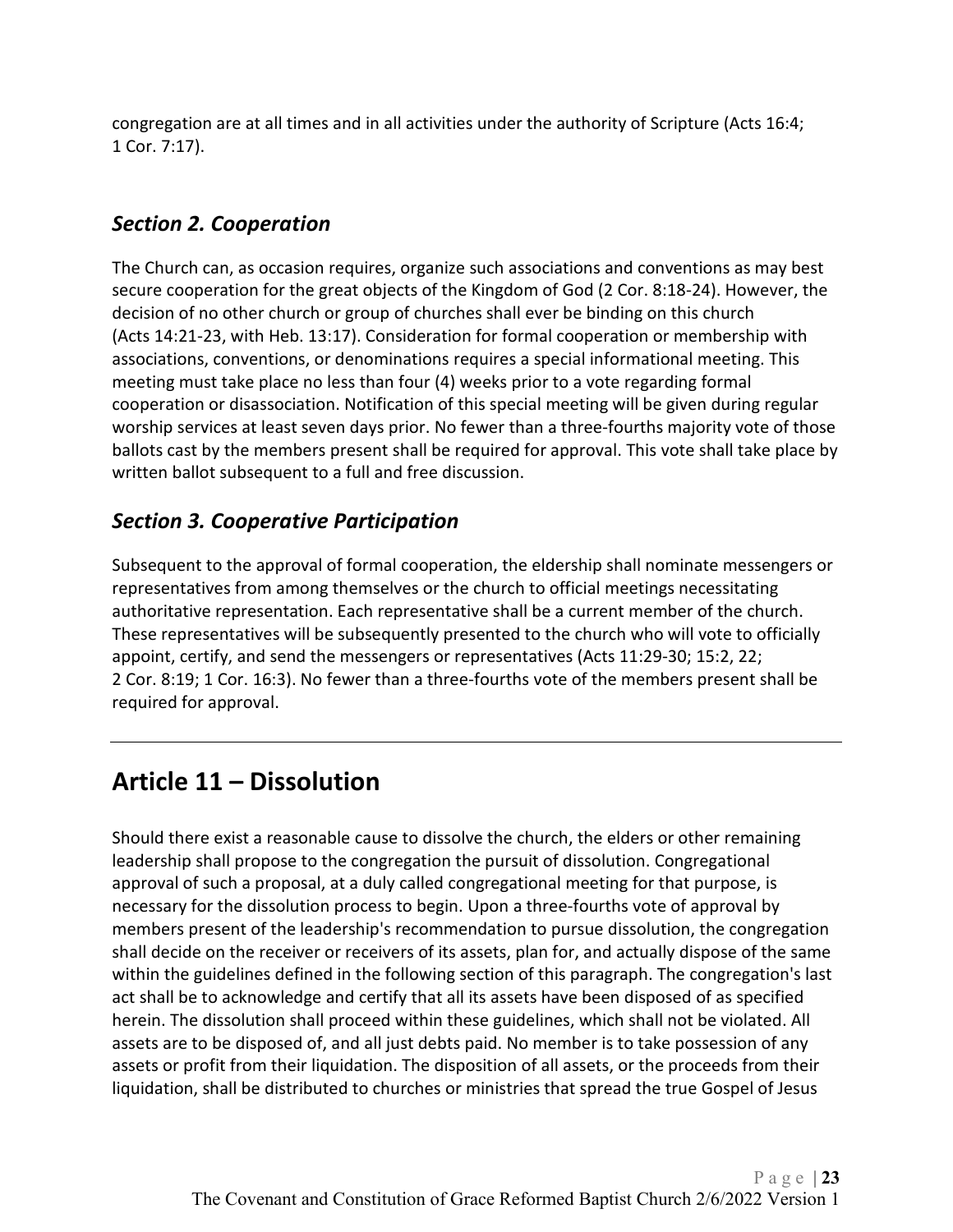congregation are at all times and in all activities under the authority of Scripture (Acts 16:4; 1 Cor. 7:17).

## <span id="page-22-0"></span>*Section 2. Cooperation*

The Church can, as occasion requires, organize such associations and conventions as may best secure cooperation for the great objects of the Kingdom of God (2 Cor. 8:18-24). However, the decision of no other church or group of churches shall ever be binding on this church (Acts 14:21-23, with Heb. 13:17). Consideration for formal cooperation or membership with associations, conventions, or denominations requires a special informational meeting. This meeting must take place no less than four (4) weeks prior to a vote regarding formal cooperation or disassociation. Notification of this special meeting will be given during regular worship services at least seven days prior. No fewer than a three-fourths majority vote of those ballots cast by the members present shall be required for approval. This vote shall take place by written ballot subsequent to a full and free discussion.

## <span id="page-22-1"></span>*Section 3. Cooperative Participation*

Subsequent to the approval of formal cooperation, the eldership shall nominate messengers or representatives from among themselves or the church to official meetings necessitating authoritative representation. Each representative shall be a current member of the church. These representatives will be subsequently presented to the church who will vote to officially appoint, certify, and send the messengers or representatives (Acts 11:29-30; 15:2, 22; 2 Cor. 8:19; 1 Cor. 16:3). No fewer than a three-fourths vote of the members present shall be required for approval.

# <span id="page-22-2"></span>**Article 11 – Dissolution**

Should there exist a reasonable cause to dissolve the church, the elders or other remaining leadership shall propose to the congregation the pursuit of dissolution. Congregational approval of such a proposal, at a duly called congregational meeting for that purpose, is necessary for the dissolution process to begin. Upon a three-fourths vote of approval by members present of the leadership's recommendation to pursue dissolution, the congregation shall decide on the receiver or receivers of its assets, plan for, and actually dispose of the same within the guidelines defined in the following section of this paragraph. The congregation's last act shall be to acknowledge and certify that all its assets have been disposed of as specified herein. The dissolution shall proceed within these guidelines, which shall not be violated. All assets are to be disposed of, and all just debts paid. No member is to take possession of any assets or profit from their liquidation. The disposition of all assets, or the proceeds from their liquidation, shall be distributed to churches or ministries that spread the true Gospel of Jesus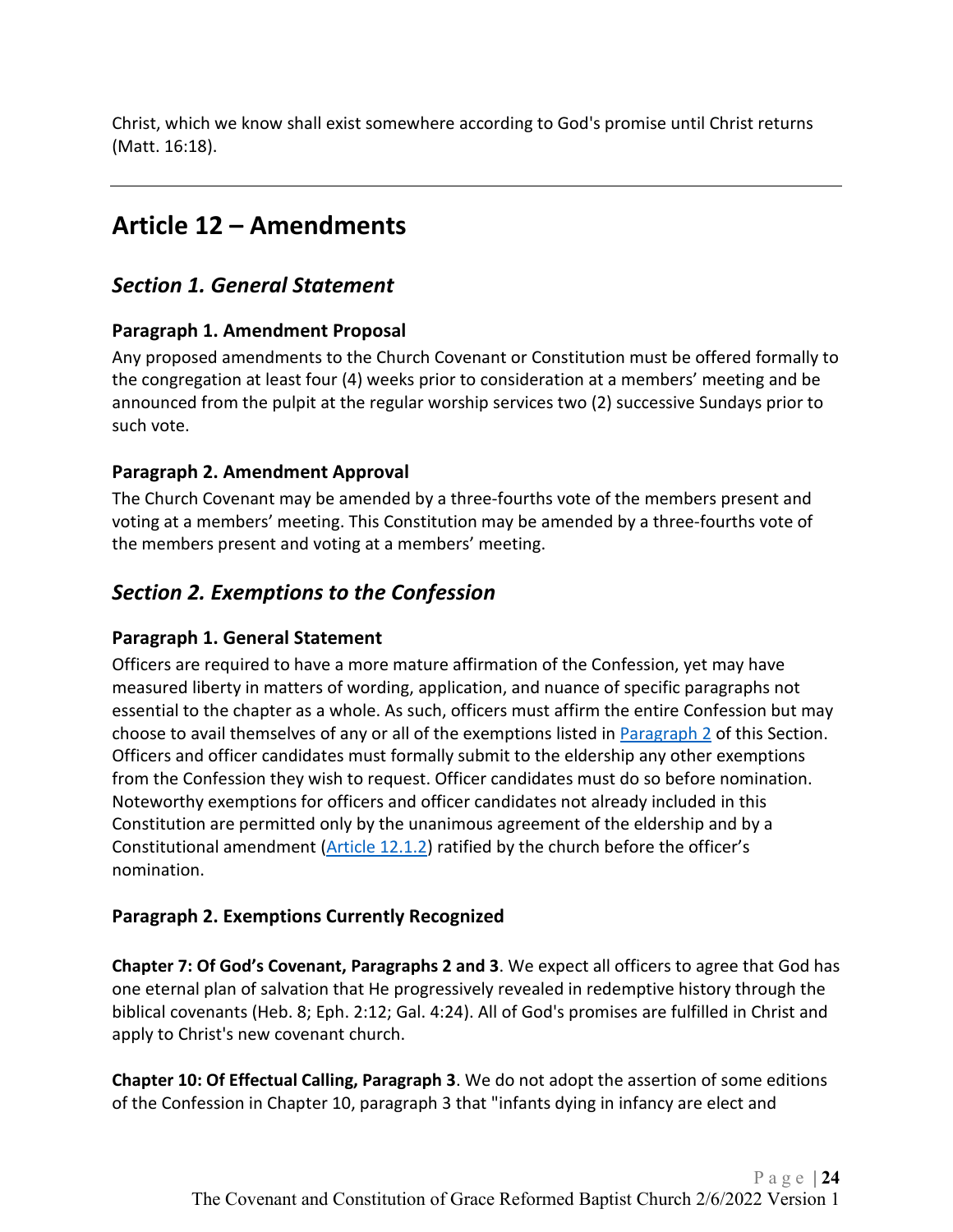<span id="page-23-0"></span>Christ, which we know shall exist somewhere according to God's promise until Christ returns (Matt. 16:18).

# **Article 12 – Amendments**

## <span id="page-23-1"></span>*Section 1. General Statement*

#### <span id="page-23-2"></span>**Paragraph 1. Amendment Proposal**

Any proposed amendments to the Church Covenant or Constitution must be offered formally to the congregation at least four (4) weeks prior to consideration at a members' meeting and be announced from the pulpit at the regular worship services two (2) successive Sundays prior to such vote.

#### <span id="page-23-3"></span>**Paragraph 2. Amendment Approval**

The Church Covenant may be amended by a three-fourths vote of the members present and voting at a members' meeting. This Constitution may be amended by a three-fourths vote of the members present and voting at a members' meeting.

# <span id="page-23-4"></span>*Section 2. Exemptions to the Confession*

#### <span id="page-23-5"></span>**Paragraph 1. General Statement**

Officers are required to have a more mature affirmation of the Confession, yet may have measured liberty in matters of wording, application, and nuance of specific paragraphs not essential to the chapter as a whole. As such, officers must affirm the entire Confession but may choose to avail themselves of any or all of the exemptions listed in [Paragraph 2](#page-23-6) of this Section. Officers and officer candidates must formally submit to the eldership any other exemptions from the Confession they wish to request. Officer candidates must do so before nomination. Noteworthy exemptions for officers and officer candidates not already included in this Constitution are permitted only by the unanimous agreement of the eldership and by a Constitutional amendment [\(Article 12.1.2\)](#page-23-3) ratified by the church before the officer's nomination.

#### <span id="page-23-6"></span>**Paragraph 2. Exemptions Currently Recognized**

**Chapter 7: Of God's Covenant, Paragraphs 2 and 3**. We expect all officers to agree that God has one eternal plan of salvation that He progressively revealed in redemptive history through the biblical covenants (Heb. 8; Eph. 2:12; Gal. 4:24). All of God's promises are fulfilled in Christ and apply to Christ's new covenant church.

**Chapter 10: Of Effectual Calling, Paragraph 3**. We do not adopt the assertion of some editions of the Confession in Chapter 10, paragraph 3 that "infants dying in infancy are elect and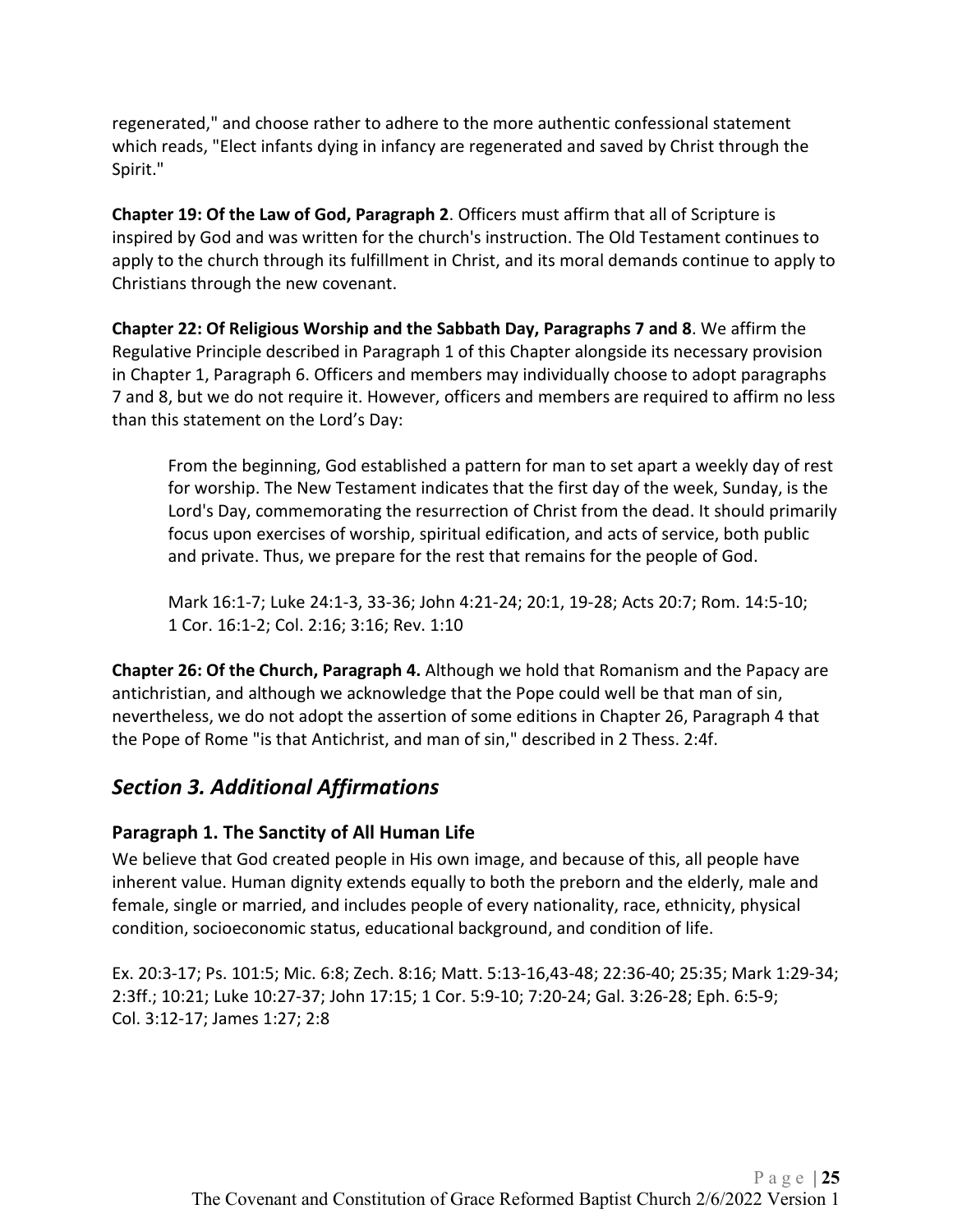regenerated," and choose rather to adhere to the more authentic confessional statement which reads, "Elect infants dying in infancy are regenerated and saved by Christ through the Spirit."

**Chapter 19: Of the Law of God, Paragraph 2**. Officers must affirm that all of Scripture is inspired by God and was written for the church's instruction. The Old Testament continues to apply to the church through its fulfillment in Christ, and its moral demands continue to apply to Christians through the new covenant.

**Chapter 22: Of Religious Worship and the Sabbath Day, Paragraphs 7 and 8**. We affirm the Regulative Principle described in Paragraph 1 of this Chapter alongside its necessary provision in Chapter 1, Paragraph 6. Officers and members may individually choose to adopt paragraphs 7 and 8, but we do not require it. However, officers and members are required to affirm no less than this statement on the Lord's Day:

From the beginning, God established a pattern for man to set apart a weekly day of rest for worship. The New Testament indicates that the first day of the week, Sunday, is the Lord's Day, commemorating the resurrection of Christ from the dead. It should primarily focus upon exercises of worship, spiritual edification, and acts of service, both public and private. Thus, we prepare for the rest that remains for the people of God.

Mark 16:1-7; Luke 24:1-3, 33-36; John 4:21-24; 20:1, 19-28; Acts 20:7; Rom. 14:5-10; 1 Cor. 16:1-2; Col. 2:16; 3:16; Rev. 1:10

**Chapter 26: Of the Church, Paragraph 4.** Although we hold that Romanism and the Papacy are antichristian, and although we acknowledge that the Pope could well be that man of sin, nevertheless, we do not adopt the assertion of some editions in Chapter 26, Paragraph 4 that the Pope of Rome "is that Antichrist, and man of sin," described in 2 Thess. 2:4f.

## <span id="page-24-0"></span>*Section 3. Additional Affirmations*

#### <span id="page-24-1"></span>**Paragraph 1. The Sanctity of All Human Life**

We believe that God created people in His own image, and because of this, all people have inherent value. Human dignity extends equally to both the preborn and the elderly, male and female, single or married, and includes people of every nationality, race, ethnicity, physical condition, socioeconomic status, educational background, and condition of life.

Ex. 20:3-17; Ps. 101:5; Mic. 6:8; Zech. 8:16; Matt. 5:13-16,43-48; 22:36-40; 25:35; Mark 1:29-34; 2:3ff.; 10:21; Luke 10:27-37; John 17:15; 1 Cor. 5:9-10; 7:20-24; Gal. 3:26-28; Eph. 6:5-9; Col. 3:12-17; James 1:27; 2:8